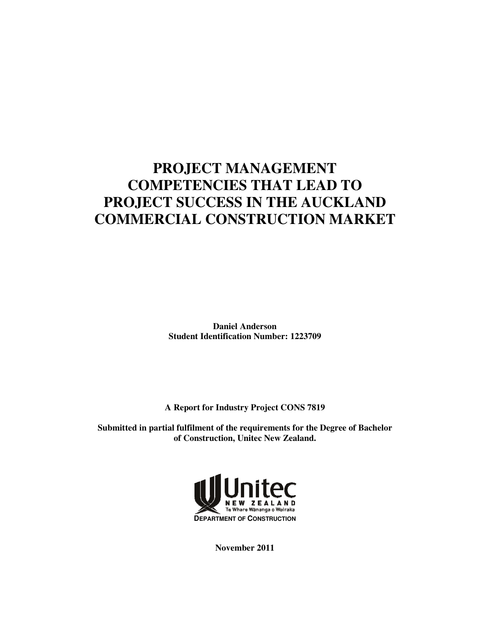# **PROJECT MANAGEMENT MANAGEMENT COMPETENCIES THAT LE LEAD TO PROJECT SUCCESS IN T THE AUCKLAND COMMERCIAL CONSTRUCT CONSTRUCTION MARKET AT LEAD<br>HE AUCK<br>CTION M**

**Student Identification Number: Student 1223709 Daniel Anderson** 

**A Report for Industry Project CONS Report 7819** 

**Submitted in partial fulfilment of the requirements for the Degree of Bachelor the of Construction, Unitec New Zealand.**



**November 2011**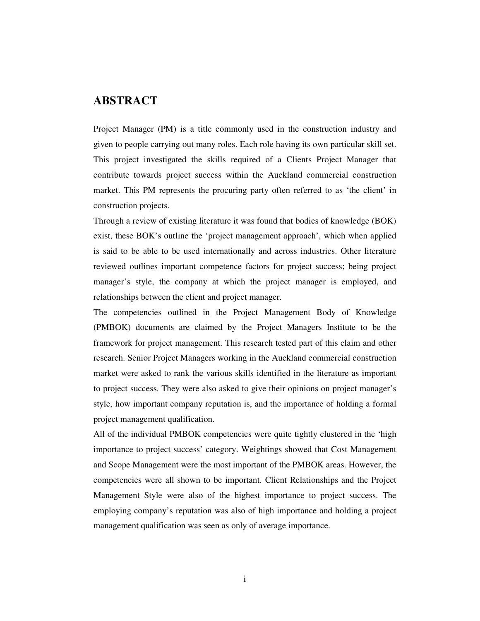# **ABSTRACT**

Project Manager (PM) is a title commonly used in the construction industry and given to people carrying out many roles. Each role having its own particular skill set. This project investigated the skills required of a Clients Project Manager that contribute towards project success within the Auckland commercial construction market. This PM represents the procuring party often referred to as 'the client' in construction projects.

Through a review of existing literature it was found that bodies of knowledge (BOK) exist, these BOK's outline the 'project management approach', which when applied is said to be able to be used internationally and across industries. Other literature reviewed outlines important competence factors for project success; being project manager's style, the company at which the project manager is employed, and relationships between the client and project manager.

The competencies outlined in the Project Management Body of Knowledge (PMBOK) documents are claimed by the Project Managers Institute to be the framework for project management. This research tested part of this claim and other research. Senior Project Managers working in the Auckland commercial construction market were asked to rank the various skills identified in the literature as important to project success. They were also asked to give their opinions on project manager's style, how important company reputation is, and the importance of holding a formal project management qualification.

All of the individual PMBOK competencies were quite tightly clustered in the 'high importance to project success' category. Weightings showed that Cost Management and Scope Management were the most important of the PMBOK areas. However, the competencies were all shown to be important. Client Relationships and the Project Management Style were also of the highest importance to project success. The employing company's reputation was also of high importance and holding a project management qualification was seen as only of average importance.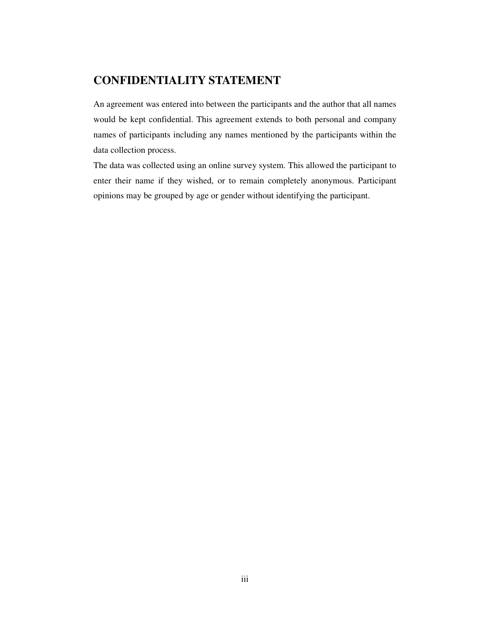# **CONFIDENTIALITY STATEMENT**

An agreement was entered into between the participants and the author that all names would be kept confidential. This agreement extends to both personal and company names of participants including any names mentioned by the participants within the data collection process.

The data was collected using an online survey system. This allowed the participant to enter their name if they wished, or to remain completely anonymous. Participant opinions may be grouped by age or gender without identifying the participant.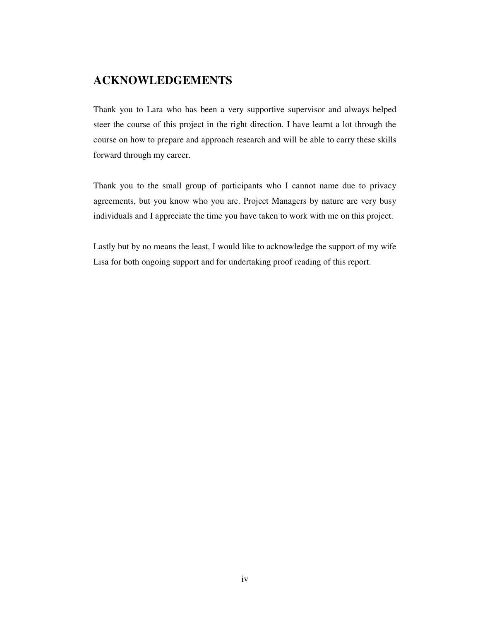# **ACKNOWLEDGEMENTS**

Thank you to Lara who has been a very supportive supervisor and always helped steer the course of this project in the right direction. I have learnt a lot through the course on how to prepare and approach research and will be able to carry these skills forward through my career.

Thank you to the small group of participants who I cannot name due to privacy agreements, but you know who you are. Project Managers by nature are very busy individuals and I appreciate the time you have taken to work with me on this project.

Lastly but by no means the least, I would like to acknowledge the support of my wife Lisa for both ongoing support and for undertaking proof reading of this report.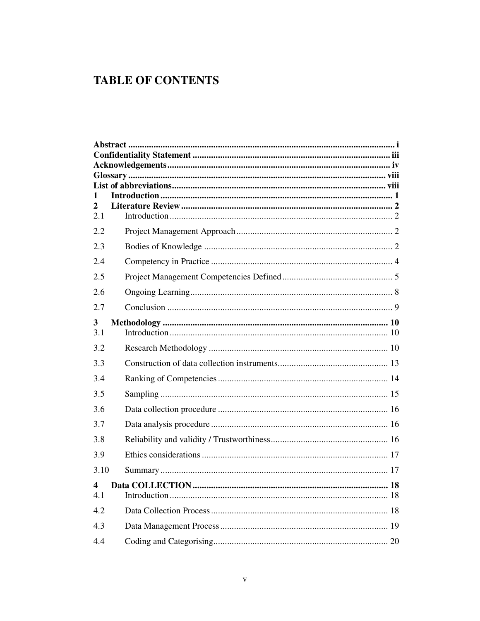# **TABLE OF CONTENTS**

| 1                     |  |
|-----------------------|--|
| 2<br>2.1              |  |
| 2.2                   |  |
| 2.3                   |  |
| 2.4                   |  |
| 2.5                   |  |
| 2.6                   |  |
| 2.7                   |  |
| 3 <sup>1</sup><br>3.1 |  |
| 3.2                   |  |
| 3.3                   |  |
| 3.4                   |  |
| 3.5                   |  |
| 3.6                   |  |
| 3.7                   |  |
| 3.8                   |  |
| 3.9                   |  |
| 3.10                  |  |
| 4<br>4.1              |  |
| 4.2                   |  |
| 4.3                   |  |
| 4.4                   |  |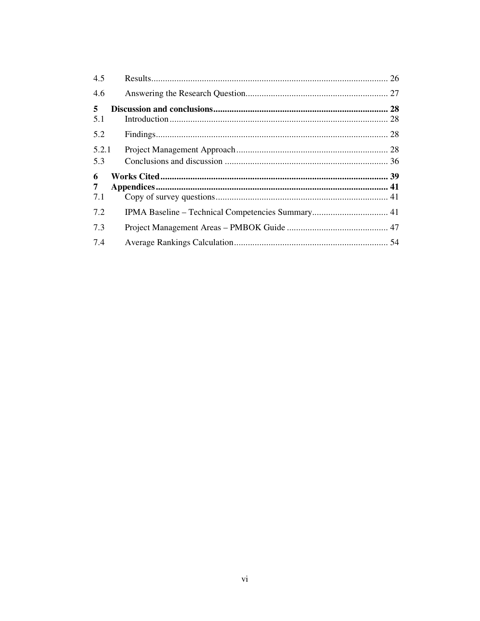| 4.5          |  |
|--------------|--|
| 4.6          |  |
| 5<br>5.1     |  |
| 5.2          |  |
| 5.2.1<br>5.3 |  |
| 6            |  |
| 7<br>7.1     |  |
| 7.2          |  |
| 7.3          |  |
| 7.4          |  |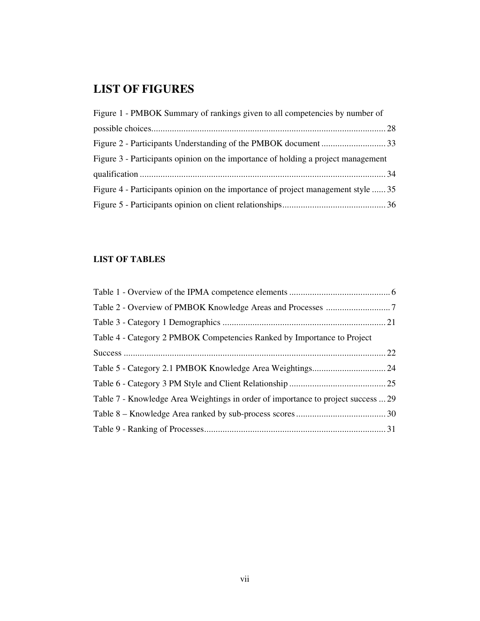# **LIST OF FIGURES**

| Figure 1 - PMBOK Summary of rankings given to all competencies by number of       |  |
|-----------------------------------------------------------------------------------|--|
|                                                                                   |  |
|                                                                                   |  |
| Figure 3 - Participants opinion on the importance of holding a project management |  |
|                                                                                   |  |
| Figure 4 - Participants opinion on the importance of project management style  35 |  |
|                                                                                   |  |

# **LIST OF TABLES**

| Table 4 - Category 2 PMBOK Competencies Ranked by Importance to Project           |  |
|-----------------------------------------------------------------------------------|--|
|                                                                                   |  |
|                                                                                   |  |
|                                                                                   |  |
| Table 7 - Knowledge Area Weightings in order of importance to project success  29 |  |
|                                                                                   |  |
|                                                                                   |  |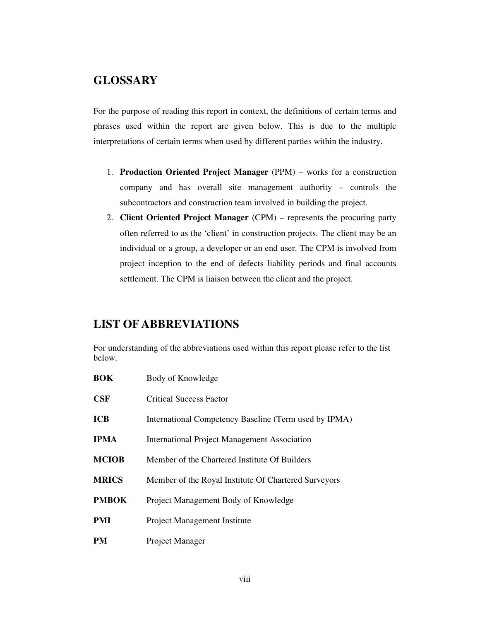# **GLOSSARY**

For the purpose of reading this report in context, the definitions of certain terms and phrases used within the report are given below. This is due to the multiple interpretations of certain terms when used by different parties within the industry.

- 1. **Production Oriented Project Manager** (PPM) works for a construction company and has overall site management authority – controls the subcontractors and construction team involved in building the project.
- 2. **Client Oriented Project Manager** (CPM) represents the procuring party often referred to as the 'client' in construction projects. The client may be an individual or a group, a developer or an end user. The CPM is involved from project inception to the end of defects liability periods and final accounts settlement. The CPM is liaison between the client and the project.

# **LIST OF ABBREVIATIONS**

For understanding of the abbreviations used within this report please refer to the list below.

| <b>BOK</b>   | Body of Knowledge                                     |
|--------------|-------------------------------------------------------|
| CSF          | <b>Critical Success Factor</b>                        |
| <b>ICB</b>   | International Competency Baseline (Term used by IPMA) |
| <b>IPMA</b>  | <b>International Project Management Association</b>   |
| <b>MCIOB</b> | Member of the Chartered Institute Of Builders         |
| <b>MRICS</b> | Member of the Royal Institute Of Chartered Surveyors  |
| <b>PMBOK</b> | Project Management Body of Knowledge                  |
| <b>PMI</b>   | <b>Project Management Institute</b>                   |
| <b>PM</b>    | Project Manager                                       |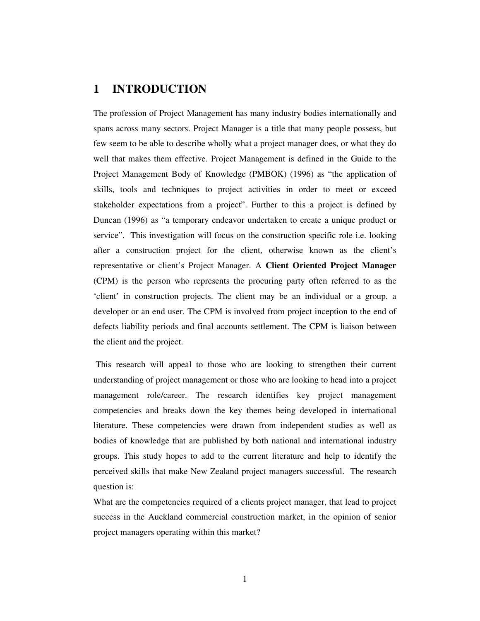# **1 INTRODUCTION**

The profession of Project Management has many industry bodies internationally and spans across many sectors. Project Manager is a title that many people possess, but few seem to be able to describe wholly what a project manager does, or what they do well that makes them effective. Project Management is defined in the Guide to the Project Management Body of Knowledge (PMBOK) (1996) as "the application of skills, tools and techniques to project activities in order to meet or exceed stakeholder expectations from a project". Further to this a project is defined by Duncan (1996) as "a temporary endeavor undertaken to create a unique product or service". This investigation will focus on the construction specific role i.e. looking after a construction project for the client, otherwise known as the client's representative or client's Project Manager. A **Client Oriented Project Manager** (CPM) is the person who represents the procuring party often referred to as the 'client' in construction projects. The client may be an individual or a group, a developer or an end user. The CPM is involved from project inception to the end of defects liability periods and final accounts settlement. The CPM is liaison between the client and the project.

 This research will appeal to those who are looking to strengthen their current understanding of project management or those who are looking to head into a project management role/career. The research identifies key project management competencies and breaks down the key themes being developed in international literature. These competencies were drawn from independent studies as well as bodies of knowledge that are published by both national and international industry groups. This study hopes to add to the current literature and help to identify the perceived skills that make New Zealand project managers successful. The research question is:

What are the competencies required of a clients project manager, that lead to project success in the Auckland commercial construction market, in the opinion of senior project managers operating within this market?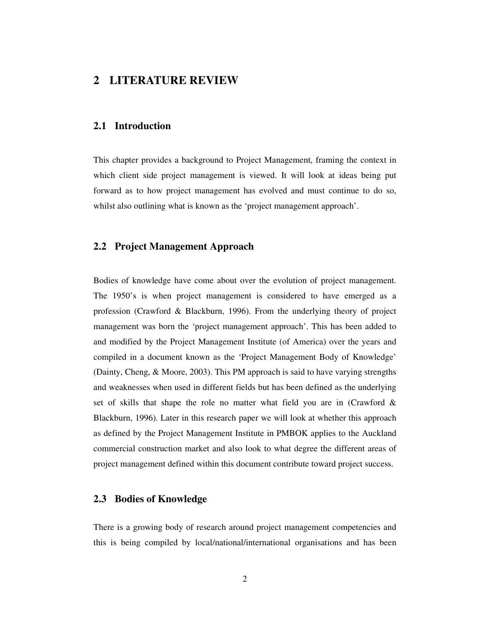# **2 LITERATURE REVIEW**

# **2.1 Introduction**

This chapter provides a background to Project Management, framing the context in which client side project management is viewed. It will look at ideas being put forward as to how project management has evolved and must continue to do so, whilst also outlining what is known as the 'project management approach'.

## **2.2 Project Management Approach**

Bodies of knowledge have come about over the evolution of project management. The 1950's is when project management is considered to have emerged as a profession (Crawford & Blackburn, 1996). From the underlying theory of project management was born the 'project management approach'. This has been added to and modified by the Project Management Institute (of America) over the years and compiled in a document known as the 'Project Management Body of Knowledge' (Dainty, Cheng, & Moore, 2003). This PM approach is said to have varying strengths and weaknesses when used in different fields but has been defined as the underlying set of skills that shape the role no matter what field you are in (Crawford  $\&$ Blackburn, 1996). Later in this research paper we will look at whether this approach as defined by the Project Management Institute in PMBOK applies to the Auckland commercial construction market and also look to what degree the different areas of project management defined within this document contribute toward project success.

### **2.3 Bodies of Knowledge**

There is a growing body of research around project management competencies and this is being compiled by local/national/international organisations and has been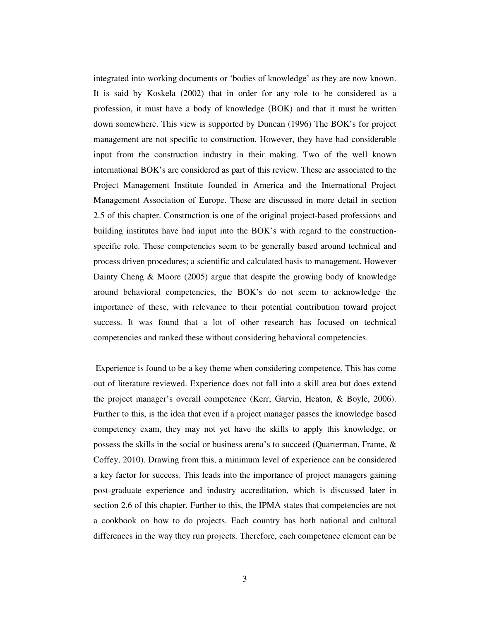integrated into working documents or 'bodies of knowledge' as they are now known. It is said by Koskela (2002) that in order for any role to be considered as a profession, it must have a body of knowledge (BOK) and that it must be written down somewhere. This view is supported by Duncan (1996) The BOK's for project management are not specific to construction. However, they have had considerable input from the construction industry in their making. Two of the well known international BOK's are considered as part of this review. These are associated to the Project Management Institute founded in America and the International Project Management Association of Europe. These are discussed in more detail in section 2.5 of this chapter. Construction is one of the original project-based professions and building institutes have had input into the BOK's with regard to the constructionspecific role. These competencies seem to be generally based around technical and process driven procedures; a scientific and calculated basis to management. However Dainty Cheng & Moore (2005) argue that despite the growing body of knowledge around behavioral competencies, the BOK's do not seem to acknowledge the importance of these, with relevance to their potential contribution toward project success. It was found that a lot of other research has focused on technical competencies and ranked these without considering behavioral competencies.

 Experience is found to be a key theme when considering competence. This has come out of literature reviewed. Experience does not fall into a skill area but does extend the project manager's overall competence (Kerr, Garvin, Heaton, & Boyle, 2006). Further to this, is the idea that even if a project manager passes the knowledge based competency exam, they may not yet have the skills to apply this knowledge, or possess the skills in the social or business arena's to succeed (Quarterman, Frame, & Coffey, 2010). Drawing from this, a minimum level of experience can be considered a key factor for success. This leads into the importance of project managers gaining post-graduate experience and industry accreditation, which is discussed later in section 2.6 of this chapter. Further to this, the IPMA states that competencies are not a cookbook on how to do projects. Each country has both national and cultural differences in the way they run projects. Therefore, each competence element can be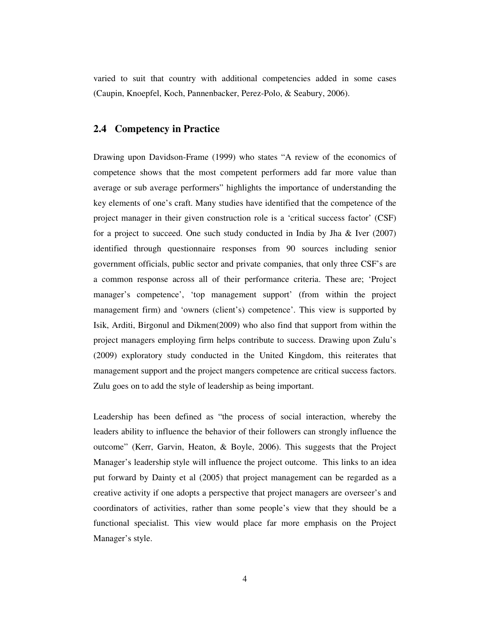varied to suit that country with additional competencies added in some cases (Caupin, Knoepfel, Koch, Pannenbacker, Perez-Polo, & Seabury, 2006).

# **2.4 Competency in Practice**

Drawing upon Davidson-Frame (1999) who states "A review of the economics of competence shows that the most competent performers add far more value than average or sub average performers" highlights the importance of understanding the key elements of one's craft. Many studies have identified that the competence of the project manager in their given construction role is a 'critical success factor' (CSF) for a project to succeed. One such study conducted in India by Jha & Iver (2007) identified through questionnaire responses from 90 sources including senior government officials, public sector and private companies, that only three CSF's are a common response across all of their performance criteria. These are; 'Project manager's competence', 'top management support' (from within the project management firm) and 'owners (client's) competence'. This view is supported by Isik, Arditi, Birgonul and Dikmen(2009) who also find that support from within the project managers employing firm helps contribute to success. Drawing upon Zulu's (2009) exploratory study conducted in the United Kingdom, this reiterates that management support and the project mangers competence are critical success factors. Zulu goes on to add the style of leadership as being important.

Leadership has been defined as "the process of social interaction, whereby the leaders ability to influence the behavior of their followers can strongly influence the outcome" (Kerr, Garvin, Heaton, & Boyle, 2006). This suggests that the Project Manager's leadership style will influence the project outcome. This links to an idea put forward by Dainty et al (2005) that project management can be regarded as a creative activity if one adopts a perspective that project managers are overseer's and coordinators of activities, rather than some people's view that they should be a functional specialist. This view would place far more emphasis on the Project Manager's style.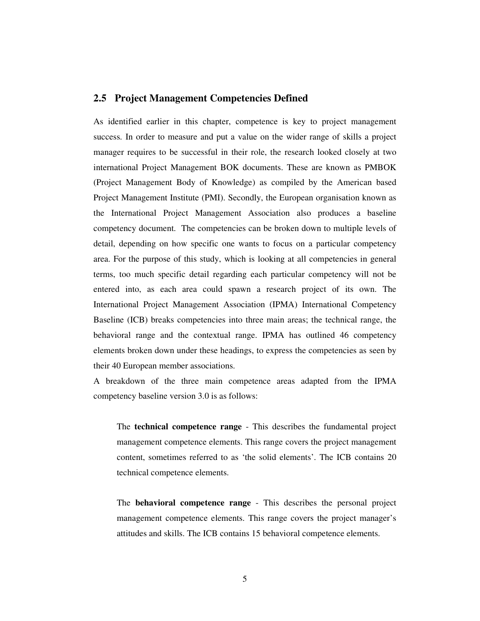## **2.5 Project Management Competencies Defined**

As identified earlier in this chapter, competence is key to project management success. In order to measure and put a value on the wider range of skills a project manager requires to be successful in their role, the research looked closely at two international Project Management BOK documents. These are known as PMBOK (Project Management Body of Knowledge) as compiled by the American based Project Management Institute (PMI). Secondly, the European organisation known as the International Project Management Association also produces a baseline competency document. The competencies can be broken down to multiple levels of detail, depending on how specific one wants to focus on a particular competency area. For the purpose of this study, which is looking at all competencies in general terms, too much specific detail regarding each particular competency will not be entered into, as each area could spawn a research project of its own. The International Project Management Association (IPMA) International Competency Baseline (ICB) breaks competencies into three main areas; the technical range, the behavioral range and the contextual range. IPMA has outlined 46 competency elements broken down under these headings, to express the competencies as seen by their 40 European member associations.

A breakdown of the three main competence areas adapted from the IPMA competency baseline version 3.0 is as follows:

The **technical competence range** - This describes the fundamental project management competence elements. This range covers the project management content, sometimes referred to as 'the solid elements'. The ICB contains 20 technical competence elements.

The **behavioral competence range** - This describes the personal project management competence elements. This range covers the project manager's attitudes and skills. The ICB contains 15 behavioral competence elements.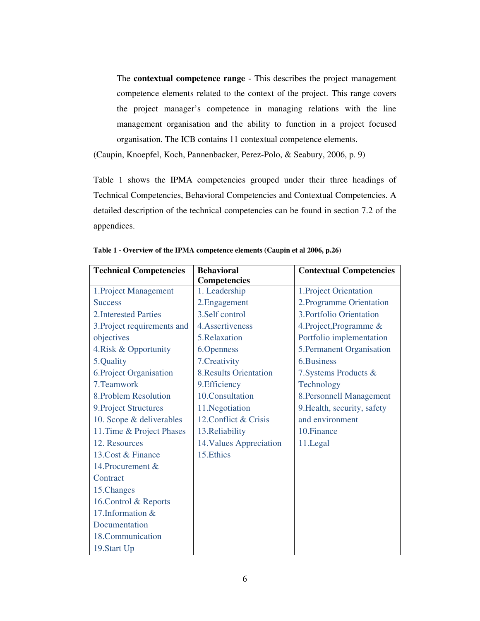The **contextual competence range** - This describes the project management competence elements related to the context of the project. This range covers the project manager's competence in managing relations with the line management organisation and the ability to function in a project focused organisation. The ICB contains 11 contextual competence elements.

(Caupin, Knoepfel, Koch, Pannenbacker, Perez-Polo, & Seabury, 2006, p. 9)

Table 1 shows the IPMA competencies grouped under their three headings of Technical Competencies, Behavioral Competencies and Contextual Competencies. A detailed description of the technical competencies can be found in section 7.2 of the appendices.

| <b>Technical Competencies</b> | <b>Behavioral</b>             | <b>Contextual Competencies</b> |
|-------------------------------|-------------------------------|--------------------------------|
|                               | <b>Competencies</b>           |                                |
| 1. Project Management         | 1. Leadership                 | 1. Project Orientation         |
| <b>Success</b>                | 2. Engagement                 | 2. Programme Orientation       |
| 2. Interested Parties         | 3. Self control               | 3. Portfolio Orientation       |
| 3. Project requirements and   | 4. Assertiveness              | 4. Project, Programme &        |
| objectives                    | 5.Relaxation                  | Portfolio implementation       |
| 4. Risk & Opportunity         | 6.Openness                    | 5. Permanent Organisation      |
| 5.Quality                     | 7. Creativity                 | 6. Business                    |
| 6. Project Organisation       | <b>8. Results Orientation</b> | 7. Systems Products &          |
| 7. Teamwork                   | 9. Efficiency                 | Technology                     |
| 8. Problem Resolution         | 10.Consultation               | 8. Personnell Management       |
| 9. Project Structures         | 11.Negotiation                | 9. Health, security, safety    |
| 10. Scope & deliverables      | 12. Conflict & Crisis         | and environment                |
| 11. Time & Project Phases     | 13. Reliability               | 10. Finance                    |
| 12. Resources                 | 14. Values Appreciation       | 11.Legal                       |
| 13. Cost & Finance            | 15. Ethics                    |                                |
| 14. Procurement &             |                               |                                |
| Contract                      |                               |                                |
| 15. Changes                   |                               |                                |
| 16. Control & Reports         |                               |                                |
| 17. Information &             |                               |                                |
| Documentation                 |                               |                                |
| 18. Communication             |                               |                                |
| 19. Start Up                  |                               |                                |

**Table 1 - Overview of the IPMA competence elements (Caupin et al 2006, p.26)**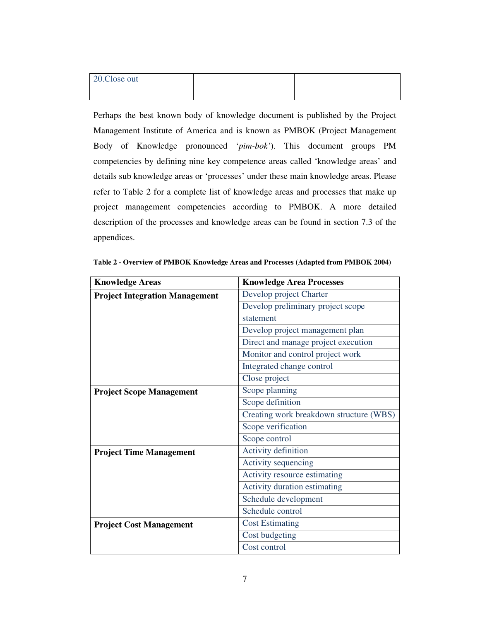| 20.Close out |  |
|--------------|--|
|              |  |

Perhaps the best known body of knowledge document is published by the Project Management Institute of America and is known as PMBOK (Project Management Body of Knowledge pronounced '*pim-bok'*). This document groups PM competencies by defining nine key competence areas called 'knowledge areas' and details sub knowledge areas or 'processes' under these main knowledge areas. Please refer to Table 2 for a complete list of knowledge areas and processes that make up project management competencies according to PMBOK. A more detailed description of the processes and knowledge areas can be found in section 7.3 of the appendices.

| <b>Knowledge Areas</b>                | <b>Knowledge Area Processes</b>         |
|---------------------------------------|-----------------------------------------|
| <b>Project Integration Management</b> | Develop project Charter                 |
|                                       | Develop preliminary project scope       |
|                                       | statement                               |
|                                       | Develop project management plan         |
|                                       | Direct and manage project execution     |
|                                       | Monitor and control project work        |
|                                       | Integrated change control               |
|                                       | Close project                           |
| <b>Project Scope Management</b>       | Scope planning                          |
|                                       | Scope definition                        |
|                                       | Creating work breakdown structure (WBS) |
|                                       | Scope verification                      |
|                                       | Scope control                           |
| <b>Project Time Management</b>        | Activity definition                     |
|                                       | Activity sequencing                     |
|                                       | Activity resource estimating            |
|                                       | Activity duration estimating            |
|                                       | Schedule development                    |
|                                       | Schedule control                        |
| <b>Project Cost Management</b>        | <b>Cost Estimating</b>                  |
|                                       | Cost budgeting                          |
|                                       | Cost control                            |

**Table 2 - Overview of PMBOK Knowledge Areas and Processes (Adapted from PMBOK 2004)**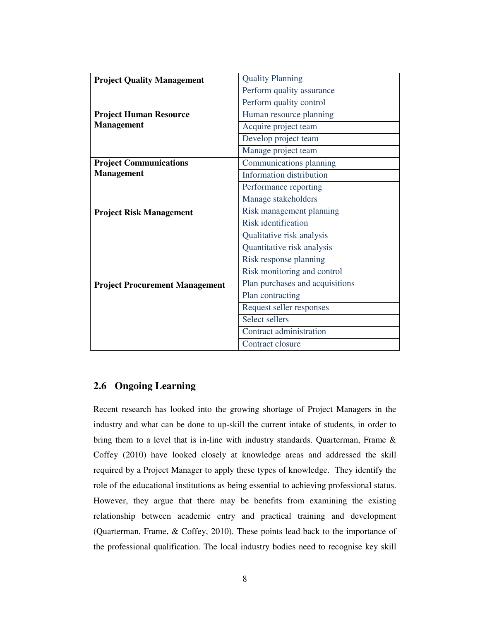| <b>Project Quality Management</b>     | <b>Quality Planning</b>         |
|---------------------------------------|---------------------------------|
|                                       | Perform quality assurance       |
|                                       | Perform quality control         |
| <b>Project Human Resource</b>         | Human resource planning         |
| <b>Management</b>                     | Acquire project team            |
|                                       | Develop project team            |
|                                       | Manage project team             |
| <b>Project Communications</b>         | Communications planning         |
| <b>Management</b>                     | <b>Information distribution</b> |
|                                       | Performance reporting           |
|                                       | Manage stakeholders             |
| <b>Project Risk Management</b>        | Risk management planning        |
|                                       | Risk identification             |
|                                       | Qualitative risk analysis       |
|                                       | Quantitative risk analysis      |
|                                       | Risk response planning          |
|                                       | Risk monitoring and control     |
| <b>Project Procurement Management</b> | Plan purchases and acquisitions |
|                                       | Plan contracting                |
|                                       | Request seller responses        |
|                                       | Select sellers                  |
|                                       | Contract administration         |
|                                       | Contract closure                |

# **2.6 Ongoing Learning**

Recent research has looked into the growing shortage of Project Managers in the industry and what can be done to up-skill the current intake of students, in order to bring them to a level that is in-line with industry standards. Quarterman, Frame & Coffey (2010) have looked closely at knowledge areas and addressed the skill required by a Project Manager to apply these types of knowledge. They identify the role of the educational institutions as being essential to achieving professional status. However, they argue that there may be benefits from examining the existing relationship between academic entry and practical training and development (Quarterman, Frame, & Coffey, 2010). These points lead back to the importance of the professional qualification. The local industry bodies need to recognise key skill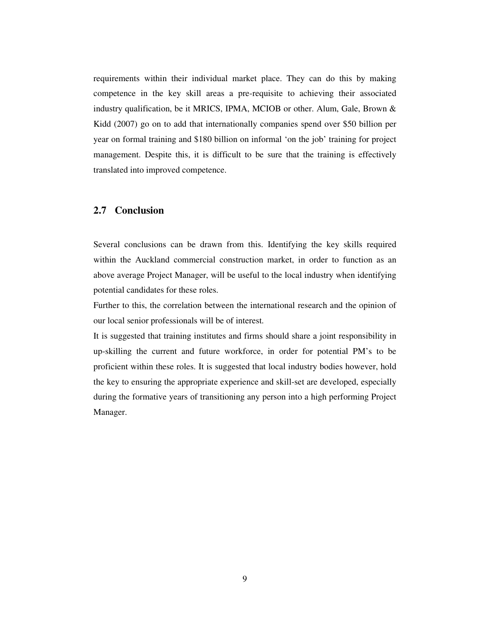requirements within their individual market place. They can do this by making competence in the key skill areas a pre-requisite to achieving their associated industry qualification, be it MRICS, IPMA, MCIOB or other. Alum, Gale, Brown & Kidd (2007) go on to add that internationally companies spend over \$50 billion per year on formal training and \$180 billion on informal 'on the job' training for project management. Despite this, it is difficult to be sure that the training is effectively translated into improved competence.

## **2.7 Conclusion**

Several conclusions can be drawn from this. Identifying the key skills required within the Auckland commercial construction market, in order to function as an above average Project Manager, will be useful to the local industry when identifying potential candidates for these roles.

Further to this, the correlation between the international research and the opinion of our local senior professionals will be of interest.

It is suggested that training institutes and firms should share a joint responsibility in up-skilling the current and future workforce, in order for potential PM's to be proficient within these roles. It is suggested that local industry bodies however, hold the key to ensuring the appropriate experience and skill-set are developed, especially during the formative years of transitioning any person into a high performing Project Manager.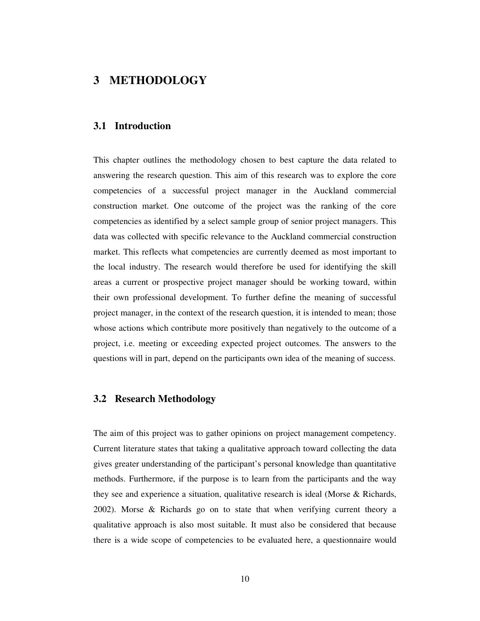# **3 METHODOLOGY**

## **3.1 Introduction**

This chapter outlines the methodology chosen to best capture the data related to answering the research question. This aim of this research was to explore the core competencies of a successful project manager in the Auckland commercial construction market. One outcome of the project was the ranking of the core competencies as identified by a select sample group of senior project managers. This data was collected with specific relevance to the Auckland commercial construction market. This reflects what competencies are currently deemed as most important to the local industry. The research would therefore be used for identifying the skill areas a current or prospective project manager should be working toward, within their own professional development. To further define the meaning of successful project manager, in the context of the research question, it is intended to mean; those whose actions which contribute more positively than negatively to the outcome of a project, i.e. meeting or exceeding expected project outcomes. The answers to the questions will in part, depend on the participants own idea of the meaning of success.

### **3.2 Research Methodology**

The aim of this project was to gather opinions on project management competency. Current literature states that taking a qualitative approach toward collecting the data gives greater understanding of the participant's personal knowledge than quantitative methods. Furthermore, if the purpose is to learn from the participants and the way they see and experience a situation, qualitative research is ideal (Morse & Richards, 2002). Morse & Richards go on to state that when verifying current theory a qualitative approach is also most suitable. It must also be considered that because there is a wide scope of competencies to be evaluated here, a questionnaire would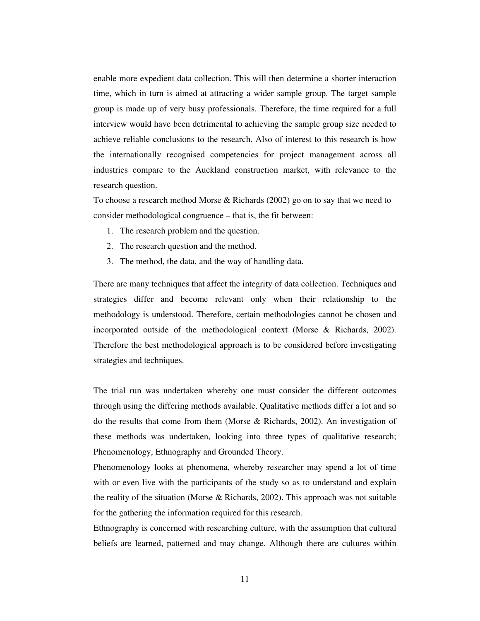enable more expedient data collection. This will then determine a shorter interaction time, which in turn is aimed at attracting a wider sample group. The target sample group is made up of very busy professionals. Therefore, the time required for a full interview would have been detrimental to achieving the sample group size needed to achieve reliable conclusions to the research. Also of interest to this research is how the internationally recognised competencies for project management across all industries compare to the Auckland construction market, with relevance to the research question.

To choose a research method Morse & Richards (2002) go on to say that we need to consider methodological congruence – that is, the fit between:

- 1. The research problem and the question.
- 2. The research question and the method.
- 3. The method, the data, and the way of handling data.

There are many techniques that affect the integrity of data collection. Techniques and strategies differ and become relevant only when their relationship to the methodology is understood. Therefore, certain methodologies cannot be chosen and incorporated outside of the methodological context (Morse & Richards, 2002). Therefore the best methodological approach is to be considered before investigating strategies and techniques.

The trial run was undertaken whereby one must consider the different outcomes through using the differing methods available. Qualitative methods differ a lot and so do the results that come from them (Morse & Richards, 2002). An investigation of these methods was undertaken, looking into three types of qualitative research; Phenomenology, Ethnography and Grounded Theory.

Phenomenology looks at phenomena, whereby researcher may spend a lot of time with or even live with the participants of the study so as to understand and explain the reality of the situation (Morse  $\&$  Richards, 2002). This approach was not suitable for the gathering the information required for this research.

Ethnography is concerned with researching culture, with the assumption that cultural beliefs are learned, patterned and may change. Although there are cultures within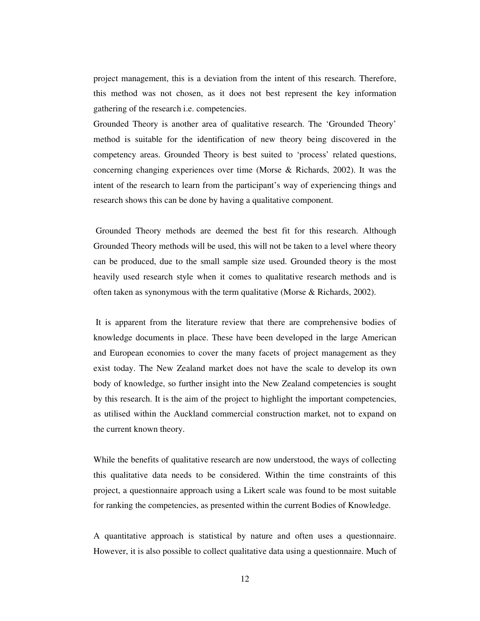project management, this is a deviation from the intent of this research. Therefore, this method was not chosen, as it does not best represent the key information gathering of the research i.e. competencies.

Grounded Theory is another area of qualitative research. The 'Grounded Theory' method is suitable for the identification of new theory being discovered in the competency areas. Grounded Theory is best suited to 'process' related questions, concerning changing experiences over time (Morse & Richards, 2002). It was the intent of the research to learn from the participant's way of experiencing things and research shows this can be done by having a qualitative component.

 Grounded Theory methods are deemed the best fit for this research. Although Grounded Theory methods will be used, this will not be taken to a level where theory can be produced, due to the small sample size used. Grounded theory is the most heavily used research style when it comes to qualitative research methods and is often taken as synonymous with the term qualitative (Morse & Richards, 2002).

 It is apparent from the literature review that there are comprehensive bodies of knowledge documents in place. These have been developed in the large American and European economies to cover the many facets of project management as they exist today. The New Zealand market does not have the scale to develop its own body of knowledge, so further insight into the New Zealand competencies is sought by this research. It is the aim of the project to highlight the important competencies, as utilised within the Auckland commercial construction market, not to expand on the current known theory.

While the benefits of qualitative research are now understood, the ways of collecting this qualitative data needs to be considered. Within the time constraints of this project, a questionnaire approach using a Likert scale was found to be most suitable for ranking the competencies, as presented within the current Bodies of Knowledge.

A quantitative approach is statistical by nature and often uses a questionnaire. However, it is also possible to collect qualitative data using a questionnaire. Much of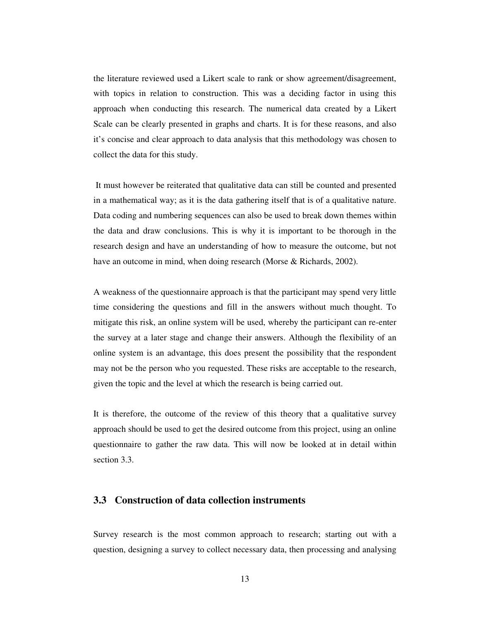the literature reviewed used a Likert scale to rank or show agreement/disagreement, with topics in relation to construction. This was a deciding factor in using this approach when conducting this research. The numerical data created by a Likert Scale can be clearly presented in graphs and charts. It is for these reasons, and also it's concise and clear approach to data analysis that this methodology was chosen to collect the data for this study.

It must however be reiterated that qualitative data can still be counted and presented in a mathematical way; as it is the data gathering itself that is of a qualitative nature. Data coding and numbering sequences can also be used to break down themes within the data and draw conclusions. This is why it is important to be thorough in the research design and have an understanding of how to measure the outcome, but not have an outcome in mind, when doing research (Morse & Richards, 2002).

A weakness of the questionnaire approach is that the participant may spend very little time considering the questions and fill in the answers without much thought. To mitigate this risk, an online system will be used, whereby the participant can re-enter the survey at a later stage and change their answers. Although the flexibility of an online system is an advantage, this does present the possibility that the respondent may not be the person who you requested. These risks are acceptable to the research, given the topic and the level at which the research is being carried out.

It is therefore, the outcome of the review of this theory that a qualitative survey approach should be used to get the desired outcome from this project, using an online questionnaire to gather the raw data. This will now be looked at in detail within section 3.3.

# **3.3 Construction of data collection instruments**

Survey research is the most common approach to research; starting out with a question, designing a survey to collect necessary data, then processing and analysing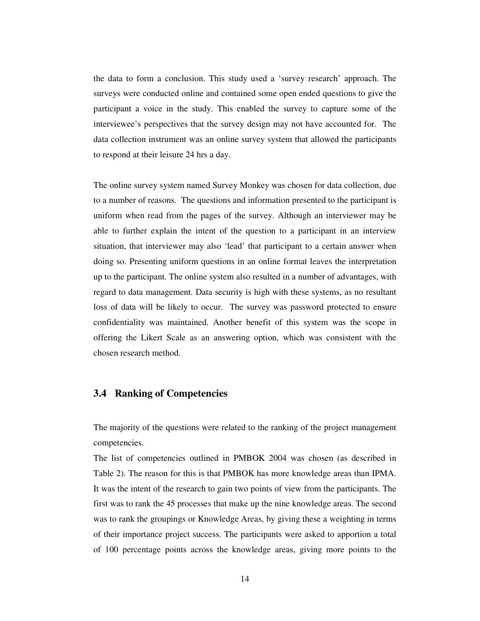the data to form a conclusion. This study used a 'survey research' approach. The surveys were conducted online and contained some open ended questions to give the participant a voice in the study. This enabled the survey to capture some of the interviewee's perspectives that the survey design may not have accounted for. The data collection instrument was an online survey system that allowed the participants to respond at their leisure 24 hrs a day.

The online survey system named Survey Monkey was chosen for data collection, due to a number of reasons. The questions and information presented to the participant is uniform when read from the pages of the survey. Although an interviewer may be able to further explain the intent of the question to a participant in an interview situation, that interviewer may also 'lead' that participant to a certain answer when doing so. Presenting uniform questions in an online format leaves the interpretation up to the participant. The online system also resulted in a number of advantages, with regard to data management. Data security is high with these systems, as no resultant loss of data will be likely to occur. The survey was password protected to ensure confidentiality was maintained. Another benefit of this system was the scope in offering the Likert Scale as an answering option, which was consistent with the chosen research method.

### **3.4 Ranking of Competencies**

The majority of the questions were related to the ranking of the project management competencies.

The list of competencies outlined in PMBOK 2004 was chosen (as described in Table 2). The reason for this is that PMBOK has more knowledge areas than IPMA. It was the intent of the research to gain two points of view from the participants. The first was to rank the 45 processes that make up the nine knowledge areas. The second was to rank the groupings or Knowledge Areas, by giving these a weighting in terms of their importance project success. The participants were asked to apportion a total of 100 percentage points across the knowledge areas, giving more points to the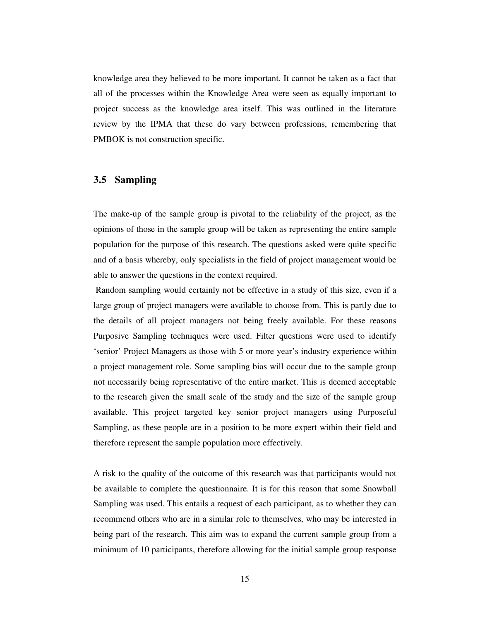knowledge area they believed to be more important. It cannot be taken as a fact that all of the processes within the Knowledge Area were seen as equally important to project success as the knowledge area itself. This was outlined in the literature review by the IPMA that these do vary between professions, remembering that PMBOK is not construction specific.

# **3.5 Sampling**

The make-up of the sample group is pivotal to the reliability of the project, as the opinions of those in the sample group will be taken as representing the entire sample population for the purpose of this research. The questions asked were quite specific and of a basis whereby, only specialists in the field of project management would be able to answer the questions in the context required.

 Random sampling would certainly not be effective in a study of this size, even if a large group of project managers were available to choose from. This is partly due to the details of all project managers not being freely available. For these reasons Purposive Sampling techniques were used. Filter questions were used to identify 'senior' Project Managers as those with 5 or more year's industry experience within a project management role. Some sampling bias will occur due to the sample group not necessarily being representative of the entire market. This is deemed acceptable to the research given the small scale of the study and the size of the sample group available. This project targeted key senior project managers using Purposeful Sampling, as these people are in a position to be more expert within their field and therefore represent the sample population more effectively.

A risk to the quality of the outcome of this research was that participants would not be available to complete the questionnaire. It is for this reason that some Snowball Sampling was used. This entails a request of each participant, as to whether they can recommend others who are in a similar role to themselves, who may be interested in being part of the research. This aim was to expand the current sample group from a minimum of 10 participants, therefore allowing for the initial sample group response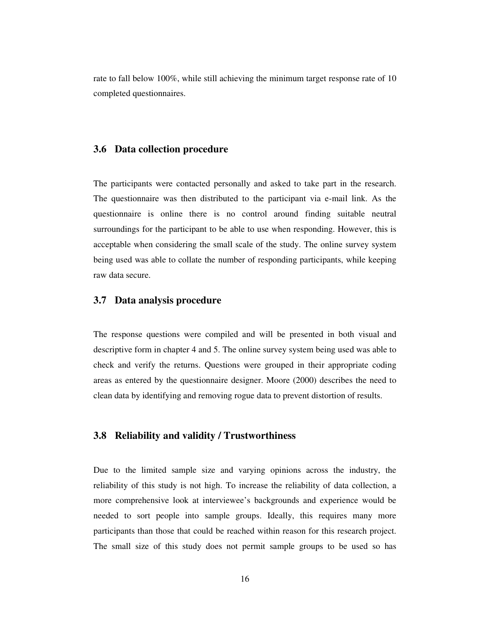rate to fall below 100%, while still achieving the minimum target response rate of 10 completed questionnaires.

## **3.6 Data collection procedure**

The participants were contacted personally and asked to take part in the research. The questionnaire was then distributed to the participant via e-mail link. As the questionnaire is online there is no control around finding suitable neutral surroundings for the participant to be able to use when responding. However, this is acceptable when considering the small scale of the study. The online survey system being used was able to collate the number of responding participants, while keeping raw data secure.

### **3.7 Data analysis procedure**

The response questions were compiled and will be presented in both visual and descriptive form in chapter 4 and 5. The online survey system being used was able to check and verify the returns. Questions were grouped in their appropriate coding areas as entered by the questionnaire designer. Moore (2000) describes the need to clean data by identifying and removing rogue data to prevent distortion of results.

## **3.8 Reliability and validity / Trustworthiness**

Due to the limited sample size and varying opinions across the industry, the reliability of this study is not high. To increase the reliability of data collection, a more comprehensive look at interviewee's backgrounds and experience would be needed to sort people into sample groups. Ideally, this requires many more participants than those that could be reached within reason for this research project. The small size of this study does not permit sample groups to be used so has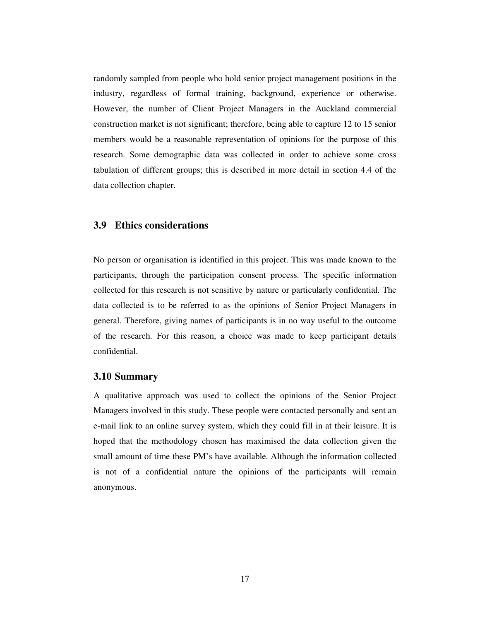randomly sampled from people who hold senior project management positions in the industry, regardless of formal training, background, experience or otherwise. However, the number of Client Project Managers in the Auckland commercial construction market is not significant; therefore, being able to capture 12 to 15 senior members would be a reasonable representation of opinions for the purpose of this research. Some demographic data was collected in order to achieve some cross tabulation of different groups; this is described in more detail in section 4.4 of the data collection chapter.

## **3.9 Ethics considerations**

No person or organisation is identified in this project. This was made known to the participants, through the participation consent process. The specific information collected for this research is not sensitive by nature or particularly confidential. The data collected is to be referred to as the opinions of Senior Project Managers in general. Therefore, giving names of participants is in no way useful to the outcome of the research. For this reason, a choice was made to keep participant details confidential.

### **3.10 Summary**

A qualitative approach was used to collect the opinions of the Senior Project Managers involved in this study. These people were contacted personally and sent an e-mail link to an online survey system, which they could fill in at their leisure. It is hoped that the methodology chosen has maximised the data collection given the small amount of time these PM's have available. Although the information collected is not of a confidential nature the opinions of the participants will remain anonymous.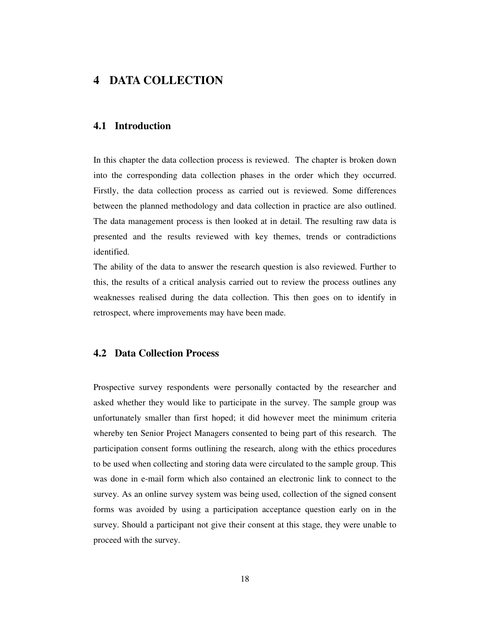# **4 DATA COLLECTION**

# **4.1 Introduction**

In this chapter the data collection process is reviewed. The chapter is broken down into the corresponding data collection phases in the order which they occurred. Firstly, the data collection process as carried out is reviewed. Some differences between the planned methodology and data collection in practice are also outlined. The data management process is then looked at in detail. The resulting raw data is presented and the results reviewed with key themes, trends or contradictions identified.

The ability of the data to answer the research question is also reviewed. Further to this, the results of a critical analysis carried out to review the process outlines any weaknesses realised during the data collection. This then goes on to identify in retrospect, where improvements may have been made.

## **4.2 Data Collection Process**

Prospective survey respondents were personally contacted by the researcher and asked whether they would like to participate in the survey. The sample group was unfortunately smaller than first hoped; it did however meet the minimum criteria whereby ten Senior Project Managers consented to being part of this research. The participation consent forms outlining the research, along with the ethics procedures to be used when collecting and storing data were circulated to the sample group. This was done in e-mail form which also contained an electronic link to connect to the survey. As an online survey system was being used, collection of the signed consent forms was avoided by using a participation acceptance question early on in the survey. Should a participant not give their consent at this stage, they were unable to proceed with the survey.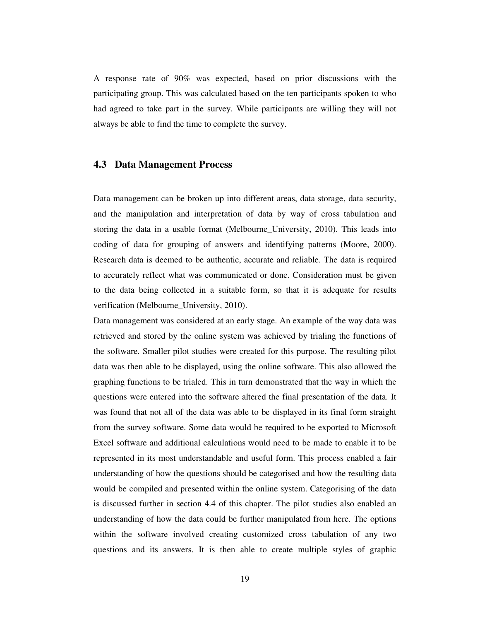A response rate of 90% was expected, based on prior discussions with the participating group. This was calculated based on the ten participants spoken to who had agreed to take part in the survey. While participants are willing they will not always be able to find the time to complete the survey.

## **4.3 Data Management Process**

Data management can be broken up into different areas, data storage, data security, and the manipulation and interpretation of data by way of cross tabulation and storing the data in a usable format (Melbourne\_University, 2010). This leads into coding of data for grouping of answers and identifying patterns (Moore, 2000). Research data is deemed to be authentic, accurate and reliable. The data is required to accurately reflect what was communicated or done. Consideration must be given to the data being collected in a suitable form, so that it is adequate for results verification (Melbourne\_University, 2010).

Data management was considered at an early stage. An example of the way data was retrieved and stored by the online system was achieved by trialing the functions of the software. Smaller pilot studies were created for this purpose. The resulting pilot data was then able to be displayed, using the online software. This also allowed the graphing functions to be trialed. This in turn demonstrated that the way in which the questions were entered into the software altered the final presentation of the data. It was found that not all of the data was able to be displayed in its final form straight from the survey software. Some data would be required to be exported to Microsoft Excel software and additional calculations would need to be made to enable it to be represented in its most understandable and useful form. This process enabled a fair understanding of how the questions should be categorised and how the resulting data would be compiled and presented within the online system. Categorising of the data is discussed further in section 4.4 of this chapter. The pilot studies also enabled an understanding of how the data could be further manipulated from here. The options within the software involved creating customized cross tabulation of any two questions and its answers. It is then able to create multiple styles of graphic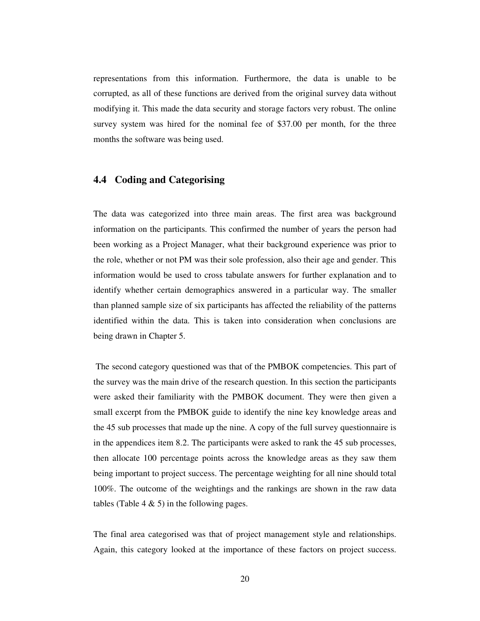representations from this information. Furthermore, the data is unable to be corrupted, as all of these functions are derived from the original survey data without modifying it. This made the data security and storage factors very robust. The online survey system was hired for the nominal fee of \$37.00 per month, for the three months the software was being used.

## **4.4 Coding and Categorising**

The data was categorized into three main areas. The first area was background information on the participants. This confirmed the number of years the person had been working as a Project Manager, what their background experience was prior to the role, whether or not PM was their sole profession, also their age and gender. This information would be used to cross tabulate answers for further explanation and to identify whether certain demographics answered in a particular way. The smaller than planned sample size of six participants has affected the reliability of the patterns identified within the data. This is taken into consideration when conclusions are being drawn in Chapter 5.

 The second category questioned was that of the PMBOK competencies. This part of the survey was the main drive of the research question. In this section the participants were asked their familiarity with the PMBOK document. They were then given a small excerpt from the PMBOK guide to identify the nine key knowledge areas and the 45 sub processes that made up the nine. A copy of the full survey questionnaire is in the appendices item 8.2. The participants were asked to rank the 45 sub processes, then allocate 100 percentage points across the knowledge areas as they saw them being important to project success. The percentage weighting for all nine should total 100%. The outcome of the weightings and the rankings are shown in the raw data tables (Table 4  $\&$  5) in the following pages.

The final area categorised was that of project management style and relationships. Again, this category looked at the importance of these factors on project success.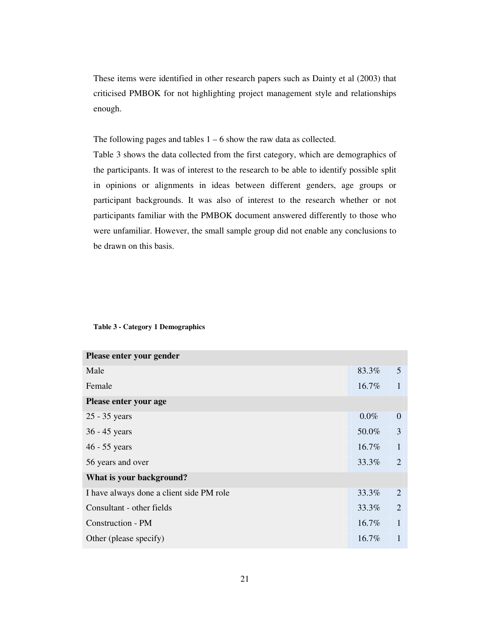These items were identified in other research papers such as Dainty et al (2003) that criticised PMBOK for not highlighting project management style and relationships enough.

The following pages and tables  $1 - 6$  show the raw data as collected.

Table 3 shows the data collected from the first category, which are demographics of the participants. It was of interest to the research to be able to identify possible split in opinions or alignments in ideas between different genders, age groups or participant backgrounds. It was also of interest to the research whether or not participants familiar with the PMBOK document answered differently to those who were unfamiliar. However, the small sample group did not enable any conclusions to be drawn on this basis.

#### **Table 3 - Category 1 Demographics**

| 83.3% | 5              |
|-------|----------------|
| 16.7% |                |
|       |                |
| 0.0%  | $\theta$       |
| 50.0% | 3              |
| 16.7% | 1              |
| 33.3% | $\overline{2}$ |
|       |                |
| 33.3% | 2              |
| 33.3% | 2              |
| 16.7% | 1              |
| 16.7% | 1              |
|       |                |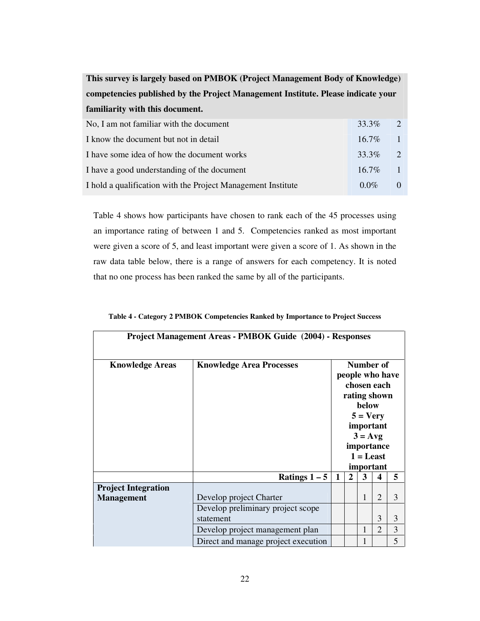**This survey is largely based on PMBOK (Project Management Body of Knowledge) competencies published by the Project Management Institute. Please indicate your familiarity with this document.** 

| No, I am not familiar with the document                      | 33.3%    | $\overline{2}$ |
|--------------------------------------------------------------|----------|----------------|
| I know the document but not in detail                        | $16.7\%$ |                |
| I have some idea of how the document works                   | 33.3%    | $\overline{2}$ |
| I have a good understanding of the document                  | $16.7\%$ | $\pm 1$        |
| I hold a qualification with the Project Management Institute | $0.0\%$  |                |

Table 4 shows how participants have chosen to rank each of the 45 processes using an importance rating of between 1 and 5. Competencies ranked as most important were given a score of 5, and least important were given a score of 1. As shown in the raw data table below, there is a range of answers for each competency. It is noted that no one process has been ranked the same by all of the participants.

| <b>Project Management Areas - PMBOK Guide (2004) - Responses</b> |                                                |              |                |                                                                                                                                                               |                             |   |  |
|------------------------------------------------------------------|------------------------------------------------|--------------|----------------|---------------------------------------------------------------------------------------------------------------------------------------------------------------|-----------------------------|---|--|
| <b>Knowledge Areas</b>                                           | <b>Knowledge Area Processes</b>                |              |                | Number of<br>people who have<br>chosen each<br>rating shown<br>below<br>$5 = \text{Very}$<br>important<br>$3 = Avg$<br>importance<br>$1 =$ Least<br>important |                             |   |  |
|                                                                  | Ratings $1-5$                                  | $\mathbf{1}$ | $\overline{2}$ | 3                                                                                                                                                             | 4                           | 5 |  |
| <b>Project Integration</b><br><b>Management</b>                  | Develop project Charter                        |              |                | 1                                                                                                                                                             | $\overline{2}$              | 3 |  |
|                                                                  | Develop preliminary project scope<br>statement |              |                |                                                                                                                                                               | 3                           | 3 |  |
|                                                                  | Develop project management plan                |              |                |                                                                                                                                                               | $\mathcal{D}_{\mathcal{A}}$ | 3 |  |
|                                                                  | Direct and manage project execution            |              |                |                                                                                                                                                               |                             | 5 |  |

**Table 4 - Category 2 PMBOK Competencies Ranked by Importance to Project Success**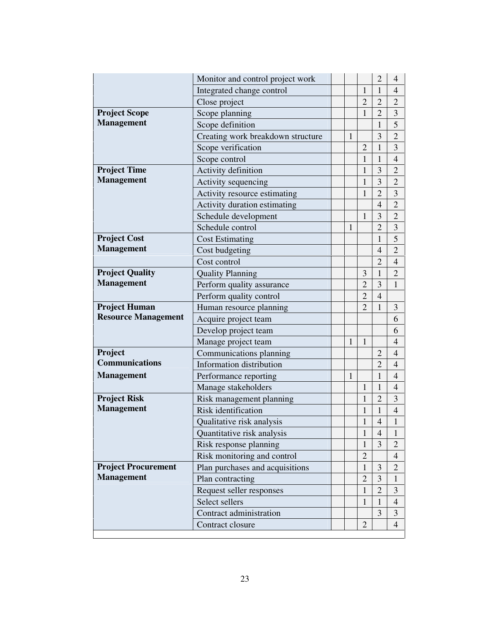|                            | Monitor and control project work  |  |              |                | $\overline{2}$ | 4              |
|----------------------------|-----------------------------------|--|--------------|----------------|----------------|----------------|
| Integrated change control  |                                   |  |              | 1              | 1              | $\overline{4}$ |
|                            | Close project                     |  |              | $\overline{2}$ | $\overline{2}$ | $\overline{2}$ |
| <b>Project Scope</b>       | Scope planning                    |  |              | 1              | $\overline{2}$ | 3              |
| <b>Management</b>          | Scope definition                  |  |              |                | 1              | 5              |
|                            | Creating work breakdown structure |  | $\mathbf{1}$ |                | 3              | $\overline{2}$ |
|                            | Scope verification                |  |              | $\overline{2}$ | $\mathbf{1}$   | $\overline{3}$ |
|                            | Scope control                     |  |              | 1              | 1              | $\overline{4}$ |
| <b>Project Time</b>        | Activity definition               |  |              | 1              | $\overline{3}$ | $\overline{2}$ |
| <b>Management</b>          | Activity sequencing               |  |              | 1              | 3              | $\overline{2}$ |
|                            | Activity resource estimating      |  |              | 1              | $\overline{2}$ | 3              |
|                            | Activity duration estimating      |  |              |                | $\overline{4}$ | $\overline{2}$ |
|                            | Schedule development              |  |              | $\mathbf{1}$   | $\overline{3}$ | $\overline{2}$ |
|                            | Schedule control                  |  | $\mathbf{1}$ |                | $\overline{2}$ | $\overline{3}$ |
| <b>Project Cost</b>        | <b>Cost Estimating</b>            |  |              |                | 1              | 5              |
| <b>Management</b>          | Cost budgeting                    |  |              |                | $\overline{4}$ | $\overline{2}$ |
|                            | Cost control                      |  |              |                | $\overline{2}$ | $\overline{4}$ |
| <b>Project Quality</b>     | <b>Quality Planning</b>           |  |              | 3              | 1              | $\overline{2}$ |
| <b>Management</b>          | Perform quality assurance         |  |              | $\overline{2}$ | 3              | $\mathbf{1}$   |
|                            | Perform quality control           |  |              | $\overline{2}$ | $\overline{4}$ |                |
| <b>Project Human</b>       | Human resource planning           |  |              | $\overline{2}$ | 1              | 3              |
| <b>Resource Management</b> | Acquire project team              |  |              |                |                | 6              |
|                            | Develop project team              |  |              |                |                | 6              |
|                            | Manage project team               |  | 1            | 1              |                | $\overline{4}$ |
| Project                    | Communications planning           |  |              |                | $\overline{2}$ | $\overline{4}$ |
| <b>Communications</b>      | <b>Information distribution</b>   |  |              |                | $\overline{2}$ | $\overline{4}$ |
| <b>Management</b>          | Performance reporting             |  | $\mathbf{1}$ |                | $\mathbf{1}$   | $\overline{4}$ |
|                            | Manage stakeholders               |  |              | 1              | 1              | $\overline{4}$ |
| <b>Project Risk</b>        | Risk management planning          |  |              | 1              | $\overline{2}$ | 3              |
| <b>Management</b>          | <b>Risk</b> identification        |  |              | 1              | 1              | $\overline{4}$ |
|                            | Qualitative risk analysis         |  |              | 1              | $\overline{4}$ | 1              |
|                            | Quantitative risk analysis        |  |              | 1              | 4              | 1              |
|                            | Risk response planning            |  |              | 1              | 3              | $\overline{2}$ |
|                            | Risk monitoring and control       |  |              | $\overline{2}$ |                | $\overline{4}$ |
| <b>Project Procurement</b> | Plan purchases and acquisitions   |  |              | 1              | 3              | $\overline{2}$ |
| <b>Management</b>          | Plan contracting                  |  |              | $\overline{2}$ | 3              | $\mathbf{1}$   |
|                            | Request seller responses          |  |              | 1              | $\overline{2}$ | 3              |
|                            | Select sellers                    |  |              | 1              | 1              | 4              |
|                            | Contract administration           |  |              |                | 3              | 3              |
|                            | Contract closure                  |  |              | $\overline{2}$ |                | 4              |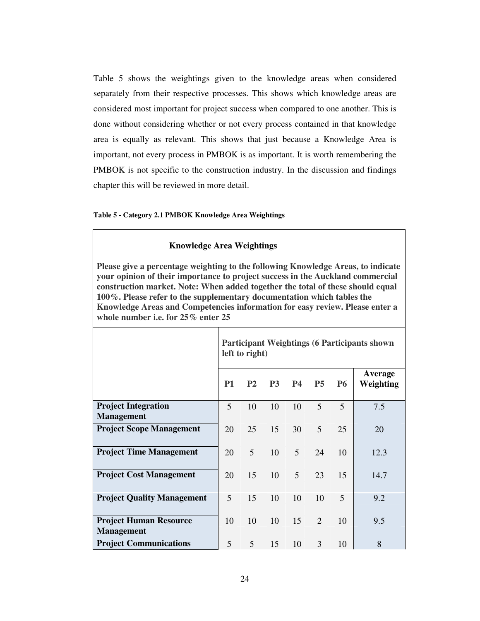Table 5 shows the weightings given to the knowledge areas when considered separately from their respective processes. This shows which knowledge areas are considered most important for project success when compared to one another. This is done without considering whether or not every process contained in that knowledge area is equally as relevant. This shows that just because a Knowledge Area is important, not every process in PMBOK is as important. It is worth remembering the PMBOK is not specific to the construction industry. In the discussion and findings chapter this will be reviewed in more detail.

### **Table 5 - Category 2.1 PMBOK Knowledge Area Weightings**

| <b>Knowledge Area Weightings</b>                                                                                                                                                                                                                                                                                                                                                                                                                     |                                                                       |                |                |           |                |           |                      |  |  |  |
|------------------------------------------------------------------------------------------------------------------------------------------------------------------------------------------------------------------------------------------------------------------------------------------------------------------------------------------------------------------------------------------------------------------------------------------------------|-----------------------------------------------------------------------|----------------|----------------|-----------|----------------|-----------|----------------------|--|--|--|
| Please give a percentage weighting to the following Knowledge Areas, to indicate<br>your opinion of their importance to project success in the Auckland commercial<br>construction market. Note: When added together the total of these should equal<br>100%. Please refer to the supplementary documentation which tables the<br>Knowledge Areas and Competencies information for easy review. Please enter a<br>whole number i.e. for 25% enter 25 |                                                                       |                |                |           |                |           |                      |  |  |  |
|                                                                                                                                                                                                                                                                                                                                                                                                                                                      | <b>Participant Weightings (6 Participants shown</b><br>left to right) |                |                |           |                |           |                      |  |  |  |
|                                                                                                                                                                                                                                                                                                                                                                                                                                                      | <b>P1</b>                                                             | P <sub>2</sub> | P <sub>3</sub> | <b>P4</b> | <b>P5</b>      | <b>P6</b> | Average<br>Weighting |  |  |  |
| <b>Project Integration</b><br><b>Management</b>                                                                                                                                                                                                                                                                                                                                                                                                      | 5                                                                     | 10             | 10             | 10        | 5              | 5         | 7.5                  |  |  |  |
| <b>Project Scope Management</b>                                                                                                                                                                                                                                                                                                                                                                                                                      | 20                                                                    | 25             | 15             | 30        | 5              | 25        | 20                   |  |  |  |
| <b>Project Time Management</b>                                                                                                                                                                                                                                                                                                                                                                                                                       | 20                                                                    | 5              | 10             | 5         | 24             | 10        | 12.3                 |  |  |  |
| <b>Project Cost Management</b>                                                                                                                                                                                                                                                                                                                                                                                                                       | 20                                                                    | 15             | 10             | 5         | 23             | 15        | 14.7                 |  |  |  |
| <b>Project Quality Management</b>                                                                                                                                                                                                                                                                                                                                                                                                                    | 5                                                                     | 15             | 10             | 10        | 10             | 5         | 9.2                  |  |  |  |
| <b>Project Human Resource</b><br><b>Management</b>                                                                                                                                                                                                                                                                                                                                                                                                   | 10                                                                    | 10             | 10             | 15        | $\overline{2}$ | 10        | 9.5                  |  |  |  |
| <b>Project Communications</b>                                                                                                                                                                                                                                                                                                                                                                                                                        | 5                                                                     | 5              | 15             | 10        | 3              | 10        | 8                    |  |  |  |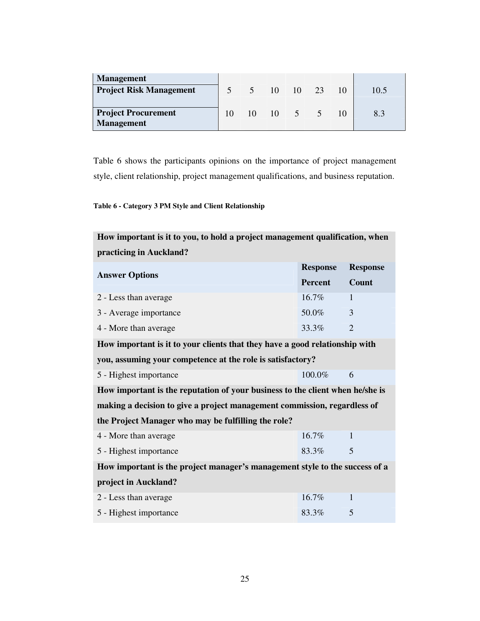| <b>Management</b>              |    |               |     |             |            |      |
|--------------------------------|----|---------------|-----|-------------|------------|------|
| <b>Project Risk Management</b> |    | $\mathcal{D}$ | 10  |             | $10 \t 23$ | 10.5 |
|                                |    |               |     |             |            |      |
| <b>Project Procurement</b>     | 10 | 10 —          | -10 | $5 \quad 5$ |            | 8.3  |
| <b>Management</b>              |    |               |     |             |            |      |

Table 6 shows the participants opinions on the importance of project management style, client relationship, project management qualifications, and business reputation.

# **Table 6 - Category 3 PM Style and Client Relationship**

| How important is it to you, to hold a project management qualification, when  |                 |                 |  |  |  |  |  |
|-------------------------------------------------------------------------------|-----------------|-----------------|--|--|--|--|--|
| practicing in Auckland?                                                       |                 |                 |  |  |  |  |  |
| <b>Answer Options</b>                                                         | <b>Response</b> | <b>Response</b> |  |  |  |  |  |
|                                                                               | <b>Percent</b>  | Count           |  |  |  |  |  |
| 2 - Less than average                                                         | 16.7%           | 1               |  |  |  |  |  |
| 3 - Average importance                                                        | 50.0%           | 3               |  |  |  |  |  |
| 4 - More than average                                                         | 33.3%           | $\overline{2}$  |  |  |  |  |  |
| How important is it to your clients that they have a good relationship with   |                 |                 |  |  |  |  |  |
| you, assuming your competence at the role is satisfactory?                    |                 |                 |  |  |  |  |  |
| 5 - Highest importance                                                        | 100.0%          | 6               |  |  |  |  |  |
| How important is the reputation of your business to the client when he/she is |                 |                 |  |  |  |  |  |
| making a decision to give a project management commission, regardless of      |                 |                 |  |  |  |  |  |
| the Project Manager who may be fulfilling the role?                           |                 |                 |  |  |  |  |  |
| 4 - More than average                                                         | $16.7\%$        | $\mathbf{1}$    |  |  |  |  |  |
| 5 - Highest importance                                                        | 83.3%           | 5               |  |  |  |  |  |
| How important is the project manager's management style to the success of a   |                 |                 |  |  |  |  |  |
| project in Auckland?                                                          |                 |                 |  |  |  |  |  |
| 2 - Less than average                                                         | $16.7\%$        | 1               |  |  |  |  |  |
| 5 - Highest importance                                                        | 83.3%           | 5               |  |  |  |  |  |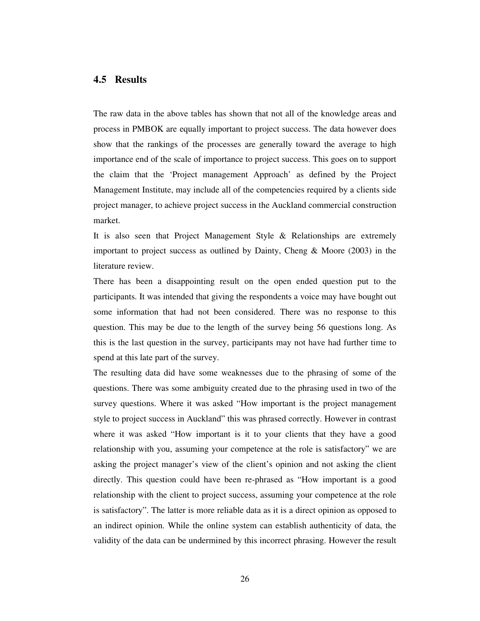# **4.5 Results**

The raw data in the above tables has shown that not all of the knowledge areas and process in PMBOK are equally important to project success. The data however does show that the rankings of the processes are generally toward the average to high importance end of the scale of importance to project success. This goes on to support the claim that the 'Project management Approach' as defined by the Project Management Institute, may include all of the competencies required by a clients side project manager, to achieve project success in the Auckland commercial construction market.

It is also seen that Project Management Style & Relationships are extremely important to project success as outlined by Dainty, Cheng & Moore (2003) in the literature review.

There has been a disappointing result on the open ended question put to the participants. It was intended that giving the respondents a voice may have bought out some information that had not been considered. There was no response to this question. This may be due to the length of the survey being 56 questions long. As this is the last question in the survey, participants may not have had further time to spend at this late part of the survey.

The resulting data did have some weaknesses due to the phrasing of some of the questions. There was some ambiguity created due to the phrasing used in two of the survey questions. Where it was asked "How important is the project management style to project success in Auckland" this was phrased correctly. However in contrast where it was asked "How important is it to your clients that they have a good relationship with you, assuming your competence at the role is satisfactory" we are asking the project manager's view of the client's opinion and not asking the client directly. This question could have been re-phrased as "How important is a good relationship with the client to project success, assuming your competence at the role is satisfactory". The latter is more reliable data as it is a direct opinion as opposed to an indirect opinion. While the online system can establish authenticity of data, the validity of the data can be undermined by this incorrect phrasing. However the result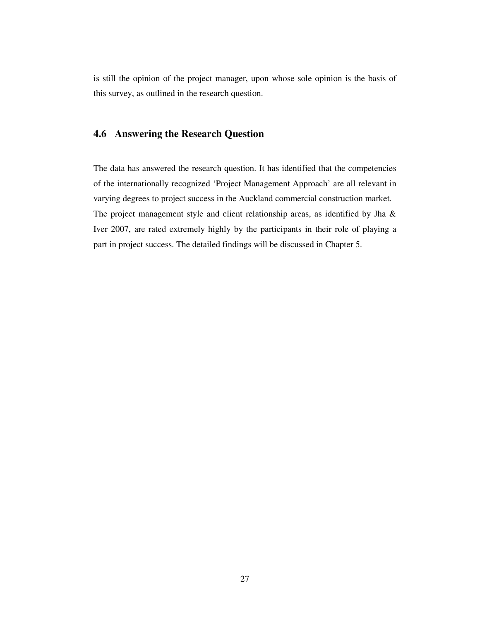is still the opinion of the project manager, upon whose sole opinion is the basis of this survey, as outlined in the research question.

# **4.6 Answering the Research Question**

The data has answered the research question. It has identified that the competencies of the internationally recognized 'Project Management Approach' are all relevant in varying degrees to project success in the Auckland commercial construction market. The project management style and client relationship areas, as identified by Jha & Iver 2007, are rated extremely highly by the participants in their role of playing a part in project success. The detailed findings will be discussed in Chapter 5.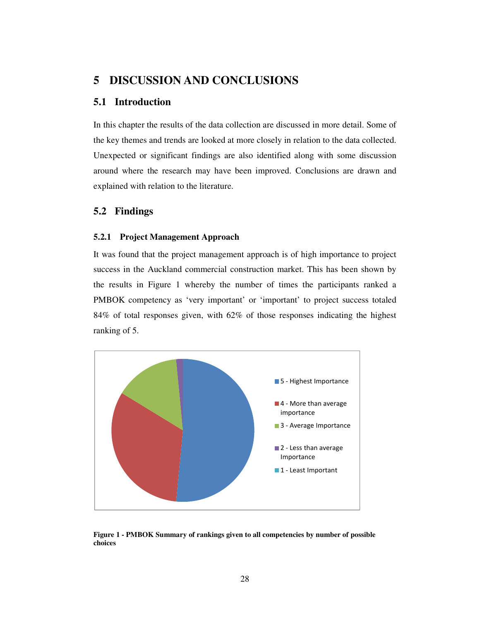# **5 DISCUSSION AND CONCLUSIONS**

# **5.1 Introduction**

In this chapter the results of the data collection are discussed in more detail. Some of the key themes and trends are looked at more closely in relation to the data collected. Unexpected or significant findings are also identified along with some discussion around where the research may have been improved. Conclusions are drawn and explained with relation to the literature.

# **5.2 Findings**

# **5.2.1 Project Management Approach**

It was found that the project management approach is of high importance to project success in the Auckland commercial construction market. This has been shown by the results in Figure 1 whereby the number of times the participants ranked a PMBOK competency as 'very important' or 'important' to project success totaled 84% of total responses given, with 62% of those responses indicating the highest ranking of 5.



**Figure 1 - PMBOK Summary of rankings given to all competencies by number of possible choices**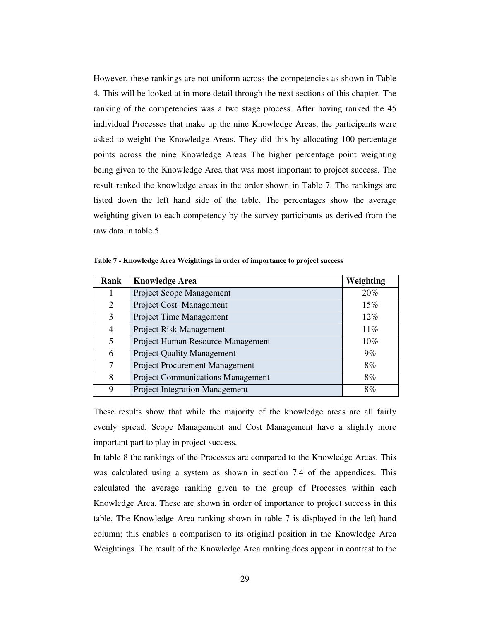However, these rankings are not uniform across the competencies as shown in Table 4. This will be looked at in more detail through the next sections of this chapter. The ranking of the competencies was a two stage process. After having ranked the 45 individual Processes that make up the nine Knowledge Areas, the participants were asked to weight the Knowledge Areas. They did this by allocating 100 percentage points across the nine Knowledge Areas The higher percentage point weighting being given to the Knowledge Area that was most important to project success. The result ranked the knowledge areas in the order shown in Table 7. The rankings are listed down the left hand side of the table. The percentages show the average weighting given to each competency by the survey participants as derived from the raw data in table 5.

| Rank | <b>Knowledge Area</b>                    | Weighting |
|------|------------------------------------------|-----------|
|      | Project Scope Management                 | 20%       |
| 2    | Project Cost Management                  | 15%       |
| 3    | Project Time Management                  | 12%       |
| 4    | <b>Project Risk Management</b>           | 11%       |
| 5    | Project Human Resource Management        | 10%       |
| 6    | <b>Project Quality Management</b>        | $9\%$     |
| 7    | <b>Project Procurement Management</b>    | $8\%$     |
| 8    | <b>Project Communications Management</b> | 8%        |
| Q    | <b>Project Integration Management</b>    | 8%        |

**Table 7 - Knowledge Area Weightings in order of importance to project success** 

These results show that while the majority of the knowledge areas are all fairly evenly spread, Scope Management and Cost Management have a slightly more important part to play in project success.

In table 8 the rankings of the Processes are compared to the Knowledge Areas. This was calculated using a system as shown in section 7.4 of the appendices. This calculated the average ranking given to the group of Processes within each Knowledge Area. These are shown in order of importance to project success in this table. The Knowledge Area ranking shown in table 7 is displayed in the left hand column; this enables a comparison to its original position in the Knowledge Area Weightings. The result of the Knowledge Area ranking does appear in contrast to the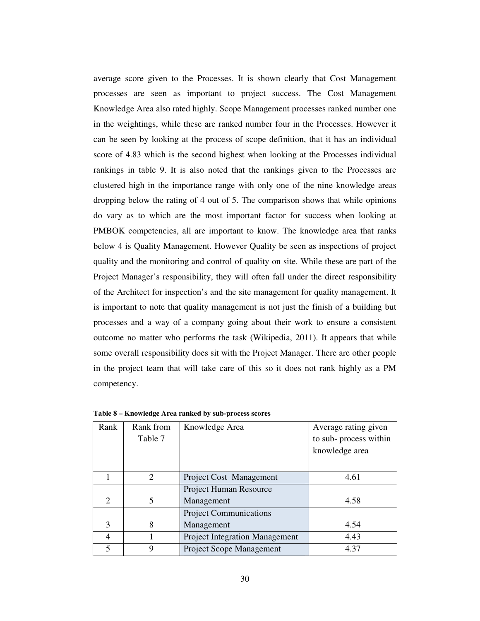average score given to the Processes. It is shown clearly that Cost Management processes are seen as important to project success. The Cost Management Knowledge Area also rated highly. Scope Management processes ranked number one in the weightings, while these are ranked number four in the Processes. However it can be seen by looking at the process of scope definition, that it has an individual score of 4.83 which is the second highest when looking at the Processes individual rankings in table 9. It is also noted that the rankings given to the Processes are clustered high in the importance range with only one of the nine knowledge areas dropping below the rating of 4 out of 5. The comparison shows that while opinions do vary as to which are the most important factor for success when looking at PMBOK competencies, all are important to know. The knowledge area that ranks below 4 is Quality Management. However Quality be seen as inspections of project quality and the monitoring and control of quality on site. While these are part of the Project Manager's responsibility, they will often fall under the direct responsibility of the Architect for inspection's and the site management for quality management. It is important to note that quality management is not just the finish of a building but processes and a way of a company going about their work to ensure a consistent outcome no matter who performs the task (Wikipedia, 2011). It appears that while some overall responsibility does sit with the Project Manager. There are other people in the project team that will take care of this so it does not rank highly as a PM competency.

| Rank                        | Rank from | Knowledge Area                        | Average rating given  |
|-----------------------------|-----------|---------------------------------------|-----------------------|
|                             | Table 7   |                                       | to sub-process within |
|                             |           |                                       | knowledge area        |
|                             |           |                                       |                       |
|                             | 2         | Project Cost Management               | 4.61                  |
|                             |           | Project Human Resource                |                       |
| $\mathcal{D}_{\mathcal{L}}$ | 5         | Management                            | 4.58                  |
|                             |           | <b>Project Communications</b>         |                       |
| 3                           | 8         | Management                            | 4.54                  |
|                             |           | <b>Project Integration Management</b> | 4.43                  |
|                             | Q         | Project Scope Management              | 4.37                  |

**Table 8 – Knowledge Area ranked by sub-process scores**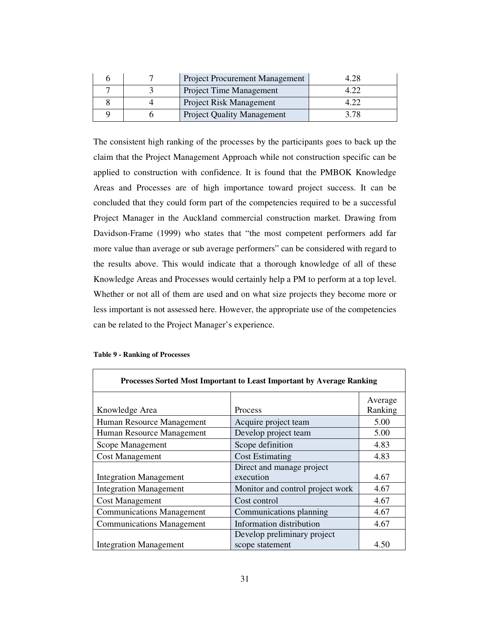|  | <b>Project Procurement Management</b> | $+28$ |
|--|---------------------------------------|-------|
|  | <b>Project Time Management</b>        |       |
|  | <b>Project Risk Management</b>        |       |
|  | <b>Project Quality Management</b>     | 3.78  |

The consistent high ranking of the processes by the participants goes to back up the claim that the Project Management Approach while not construction specific can be applied to construction with confidence. It is found that the PMBOK Knowledge Areas and Processes are of high importance toward project success. It can be concluded that they could form part of the competencies required to be a successful Project Manager in the Auckland commercial construction market. Drawing from Davidson-Frame (1999) who states that "the most competent performers add far more value than average or sub average performers" can be considered with regard to the results above. This would indicate that a thorough knowledge of all of these Knowledge Areas and Processes would certainly help a PM to perform at a top level. Whether or not all of them are used and on what size projects they become more or less important is not assessed here. However, the appropriate use of the competencies can be related to the Project Manager's experience.

| Processes Sorted Most Important to Least Important by Average Ranking |                                  |                    |  |  |  |  |  |  |
|-----------------------------------------------------------------------|----------------------------------|--------------------|--|--|--|--|--|--|
| Knowledge Area                                                        | Process                          | Average<br>Ranking |  |  |  |  |  |  |
| Human Resource Management                                             | Acquire project team             | 5.00               |  |  |  |  |  |  |
| Human Resource Management                                             | Develop project team             | 5.00               |  |  |  |  |  |  |
| Scope Management                                                      | Scope definition                 | 4.83               |  |  |  |  |  |  |
| <b>Cost Management</b>                                                | <b>Cost Estimating</b>           | 4.83               |  |  |  |  |  |  |
|                                                                       | Direct and manage project        |                    |  |  |  |  |  |  |
| <b>Integration Management</b>                                         | execution                        | 4.67               |  |  |  |  |  |  |
| <b>Integration Management</b>                                         | Monitor and control project work | 4.67               |  |  |  |  |  |  |
| <b>Cost Management</b>                                                | Cost control                     | 4.67               |  |  |  |  |  |  |
| <b>Communications Management</b>                                      | Communications planning          | 4.67               |  |  |  |  |  |  |
| <b>Communications Management</b>                                      | Information distribution         | 4.67               |  |  |  |  |  |  |
|                                                                       | Develop preliminary project      |                    |  |  |  |  |  |  |
| <b>Integration Management</b>                                         | scope statement                  | 4.50               |  |  |  |  |  |  |

|  |  | <b>Table 9 - Ranking of Processes</b> |
|--|--|---------------------------------------|
|--|--|---------------------------------------|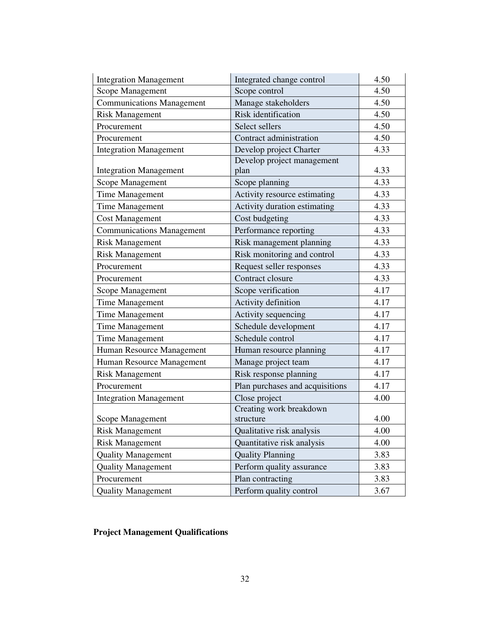| <b>Integration Management</b>    | Integrated change control       | 4.50 |
|----------------------------------|---------------------------------|------|
| Scope Management                 | Scope control                   | 4.50 |
| <b>Communications Management</b> | Manage stakeholders             | 4.50 |
| <b>Risk Management</b>           | Risk identification             | 4.50 |
| Procurement                      | Select sellers                  | 4.50 |
| Procurement                      | Contract administration         | 4.50 |
| <b>Integration Management</b>    | Develop project Charter         | 4.33 |
|                                  | Develop project management      |      |
| <b>Integration Management</b>    | plan                            | 4.33 |
| Scope Management                 | Scope planning                  | 4.33 |
| <b>Time Management</b>           | Activity resource estimating    | 4.33 |
| Time Management                  | Activity duration estimating    | 4.33 |
| <b>Cost Management</b>           | Cost budgeting                  | 4.33 |
| <b>Communications Management</b> | Performance reporting           | 4.33 |
| <b>Risk Management</b>           | Risk management planning        | 4.33 |
| <b>Risk Management</b>           | Risk monitoring and control     | 4.33 |
| Procurement                      | Request seller responses        | 4.33 |
| Procurement                      | Contract closure                | 4.33 |
| Scope Management                 | Scope verification              | 4.17 |
| <b>Time Management</b>           | Activity definition             | 4.17 |
| <b>Time Management</b>           | Activity sequencing             | 4.17 |
| Time Management                  | Schedule development            | 4.17 |
| Time Management                  | Schedule control                | 4.17 |
| Human Resource Management        | Human resource planning         | 4.17 |
| Human Resource Management        | Manage project team             | 4.17 |
| <b>Risk Management</b>           | Risk response planning          | 4.17 |
| Procurement                      | Plan purchases and acquisitions | 4.17 |
| <b>Integration Management</b>    | Close project                   | 4.00 |
|                                  | Creating work breakdown         |      |
| Scope Management                 | structure                       | 4.00 |
| <b>Risk Management</b>           | Qualitative risk analysis       | 4.00 |
| <b>Risk Management</b>           | Quantitative risk analysis      | 4.00 |
| <b>Quality Management</b>        | <b>Quality Planning</b>         | 3.83 |
| <b>Quality Management</b>        | Perform quality assurance       | 3.83 |
| Procurement                      | Plan contracting                | 3.83 |
| <b>Quality Management</b>        | Perform quality control         | 3.67 |

# **Project Management Qualifications**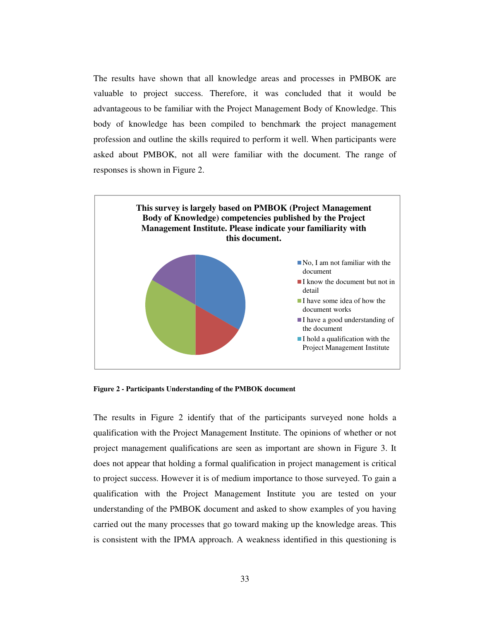The results have shown that all knowledge areas and processes in PMBOK are valuable to project success. Therefore, it was concluded that it would be advantageous to be familiar with the Project Management Body of Knowledge. This body of knowledge has been compiled to benchmark the project management profession and outline the skills required to perform it well. When participants were asked about PMBOK, not all were familiar with the document. The range of responses is shown in Figure 2.



**Figure 2 - Participants Understanding of the PMBOK document** 

The results in Figure 2 identify that of the participants surveyed none holds a qualification with the Project Management Institute. The opinions of whether or not project management qualifications are seen as important are shown in Figure 3. It does not appear that holding a formal qualification in project management is critical to project success. However it is of medium importance to those surveyed. To gain a qualification with the Project Management Institute you are tested on your understanding of the PMBOK document and asked to show examples of you having carried out the many processes that go toward making up the knowledge areas. This is consistent with the IPMA approach. A weakness identified in this questioning is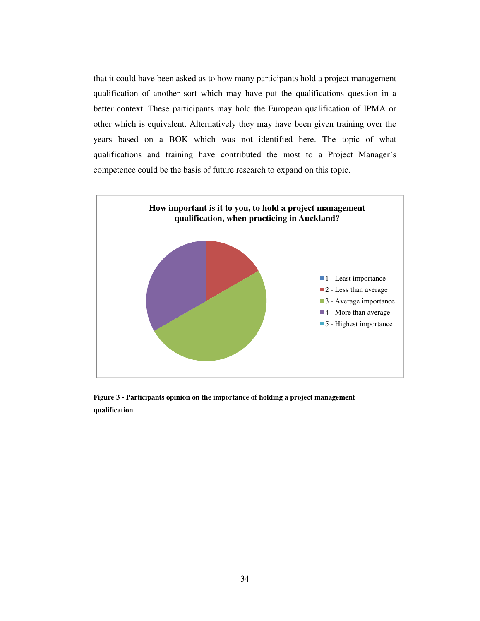that it could have been asked as to how many participants hold a project management qualification of another sort which may have put the qualifications question in a better context. These participants may hold the European qualification of IPMA or other which is equivalent. Alternatively they may have been given training over the years based on a BOK which was not identified here. The topic of what qualifications and training have contributed the most to a Project Manager's competence could be the basis of future research to expand on this topic.



**Figure 3 - Participants opinion on the importance of holding a project management qualification**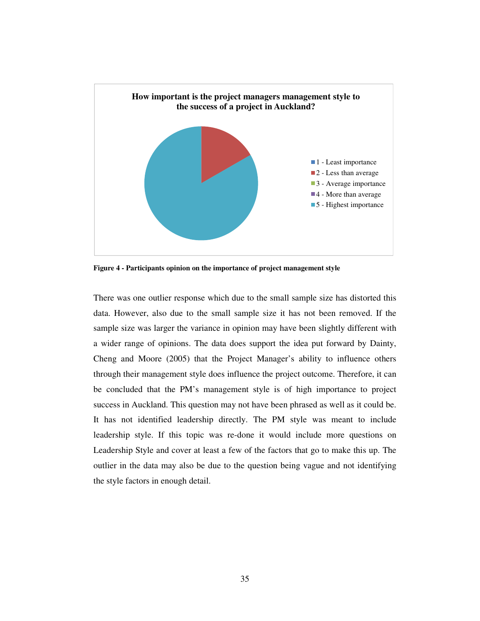

**Figure 4 - Participants opinion on the importance of project management style** 

There was one outlier response which due to the small sample size has distorted this data. However, also due to the small sample size it has not been removed. If the sample size was larger the variance in opinion may have been slightly different with a wider range of opinions. The data does support the idea put forward by Dainty, Cheng and Moore (2005) that the Project Manager's ability to influence others through their management style does influence the project outcome. Therefore, it can be concluded that the PM's management style is of high importance to project success in Auckland. This question may not have been phrased as well as it could be. It has not identified leadership directly. The PM style was meant to include leadership style. If this topic was re-done it would include more questions on Leadership Style and cover at least a few of the factors that go to make this up. The outlier in the data may also be due to the question being vague and not identifying the style factors in enough detail.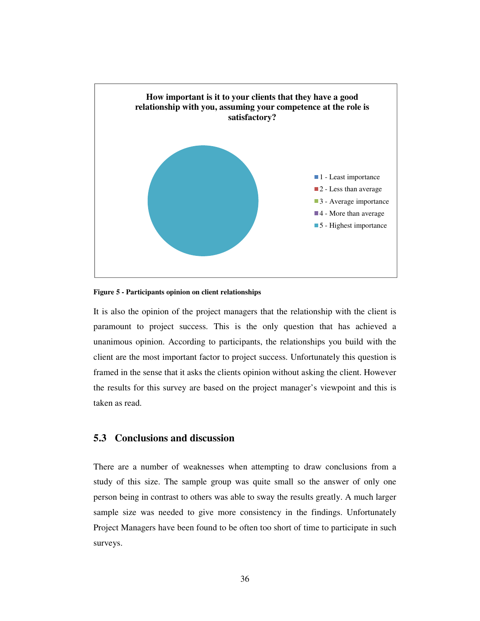

**Figure 5 - Participants opinion on client relationships** 

It is also the opinion of the project managers that the relationship with the client is paramount to project success. This is the only question that has achieved a unanimous opinion. According to participants, the relationships you build with the client are the most important factor to project success. Unfortunately this question is framed in the sense that it asks the clients opinion without asking the client. However the results for this survey are based on the project manager's viewpoint and this is taken as read.

## **5.3 Conclusions and discussion**

There are a number of weaknesses when attempting to draw conclusions from a study of this size. The sample group was quite small so the answer of only one person being in contrast to others was able to sway the results greatly. A much larger sample size was needed to give more consistency in the findings. Unfortunately Project Managers have been found to be often too short of time to participate in such surveys.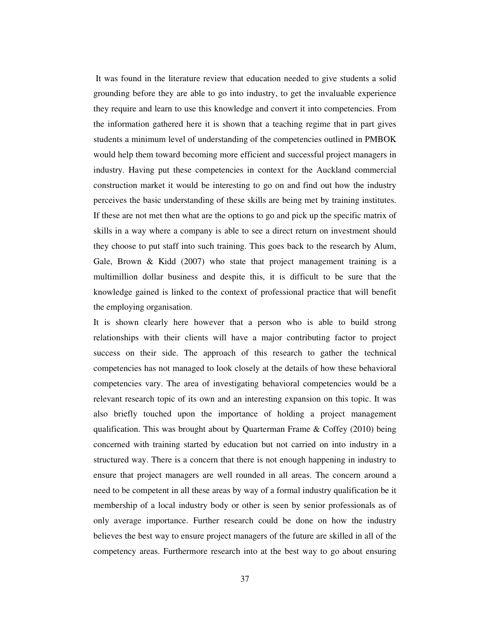It was found in the literature review that education needed to give students a solid grounding before they are able to go into industry, to get the invaluable experience they require and learn to use this knowledge and convert it into competencies. From the information gathered here it is shown that a teaching regime that in part gives students a minimum level of understanding of the competencies outlined in PMBOK would help them toward becoming more efficient and successful project managers in industry. Having put these competencies in context for the Auckland commercial construction market it would be interesting to go on and find out how the industry perceives the basic understanding of these skills are being met by training institutes. If these are not met then what are the options to go and pick up the specific matrix of skills in a way where a company is able to see a direct return on investment should they choose to put staff into such training. This goes back to the research by Alum, Gale, Brown & Kidd  $(2007)$  who state that project management training is a multimillion dollar business and despite this, it is difficult to be sure that the knowledge gained is linked to the context of professional practice that will benefit the employing organisation.

It is shown clearly here however that a person who is able to build strong relationships with their clients will have a major contributing factor to project success on their side. The approach of this research to gather the technical competencies has not managed to look closely at the details of how these behavioral competencies vary. The area of investigating behavioral competencies would be a relevant research topic of its own and an interesting expansion on this topic. It was also briefly touched upon the importance of holding a project management qualification. This was brought about by Quarterman Frame & Coffey (2010) being concerned with training started by education but not carried on into industry in a structured way. There is a concern that there is not enough happening in industry to ensure that project managers are well rounded in all areas. The concern around a need to be competent in all these areas by way of a formal industry qualification be it membership of a local industry body or other is seen by senior professionals as of only average importance. Further research could be done on how the industry believes the best way to ensure project managers of the future are skilled in all of the competency areas. Furthermore research into at the best way to go about ensuring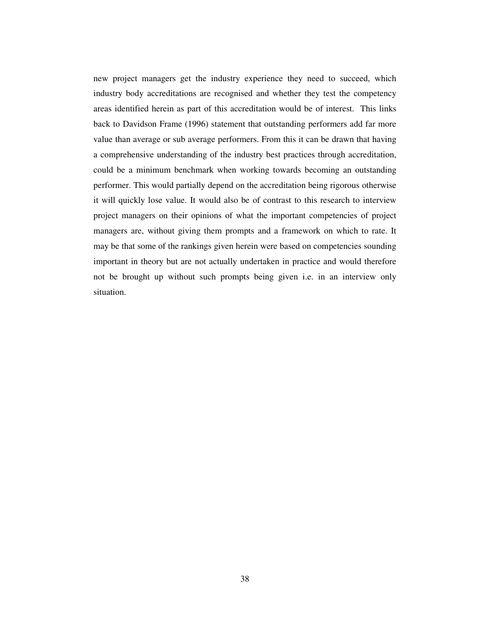new project managers get the industry experience they need to succeed, which industry body accreditations are recognised and whether they test the competency areas identified herein as part of this accreditation would be of interest. This links back to Davidson Frame (1996) statement that outstanding performers add far more value than average or sub average performers. From this it can be drawn that having a comprehensive understanding of the industry best practices through accreditation, could be a minimum benchmark when working towards becoming an outstanding performer. This would partially depend on the accreditation being rigorous otherwise it will quickly lose value. It would also be of contrast to this research to interview project managers on their opinions of what the important competencies of project managers are, without giving them prompts and a framework on which to rate. It may be that some of the rankings given herein were based on competencies sounding important in theory but are not actually undertaken in practice and would therefore not be brought up without such prompts being given i.e. in an interview only situation.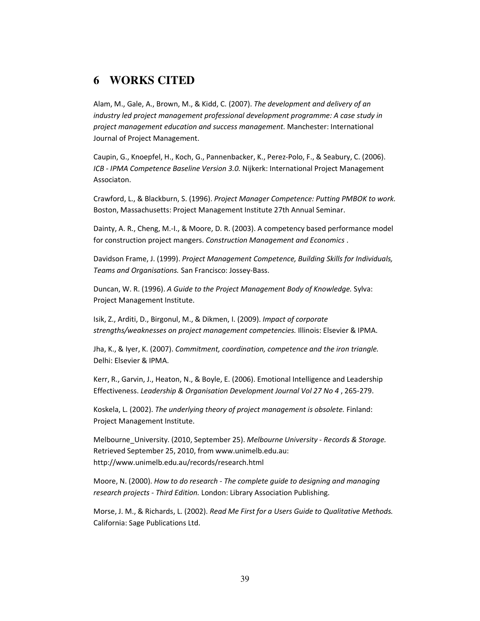# **6 WORKS CITED**

Alam, M., Gale, A., Brown, M., & Kidd, C. (2007). The development and delivery of an industry led project management professional development programme: A case study in project management education and success management. Manchester: International Journal of Project Management.

Caupin, G., Knoepfel, H., Koch, G., Pannenbacker, K., Perez-Polo, F., & Seabury, C. (2006). ICB - IPMA Competence Baseline Version 3.0. Nijkerk: International Project Management Associaton.

Crawford, L., & Blackburn, S. (1996). Project Manager Competence: Putting PMBOK to work. Boston, Massachusetts: Project Management Institute 27th Annual Seminar.

Dainty, A. R., Cheng, M.-I., & Moore, D. R. (2003). A competency based performance model for construction project mangers. Construction Management and Economics .

Davidson Frame, J. (1999). Project Management Competence, Building Skills for Individuals, Teams and Organisations. San Francisco: Jossey-Bass.

Duncan, W. R. (1996). A Guide to the Project Management Body of Knowledge. Sylva: Project Management Institute.

Isik, Z., Arditi, D., Birgonul, M., & Dikmen, I. (2009). Impact of corporate strengths/weaknesses on project management competencies. Illinois: Elsevier & IPMA.

Jha, K., & Iyer, K. (2007). Commitment, coordination, competence and the iron triangle. Delhi: Elsevier & IPMA.

Kerr, R., Garvin, J., Heaton, N., & Boyle, E. (2006). Emotional Intelligence and Leadership Effectiveness. Leadership & Organisation Development Journal Vol 27 No 4 , 265-279.

Koskela, L. (2002). The underlying theory of project management is obsolete. Finland: Project Management Institute.

Melbourne\_University. (2010, September 25). Melbourne University - Records & Storage. Retrieved September 25, 2010, from www.unimelb.edu.au: http://www.unimelb.edu.au/records/research.html

Moore, N. (2000). How to do research - The complete guide to designing and managing research projects - Third Edition. London: Library Association Publishing.

Morse, J. M., & Richards, L. (2002). Read Me First for a Users Guide to Qualitative Methods. California: Sage Publications Ltd.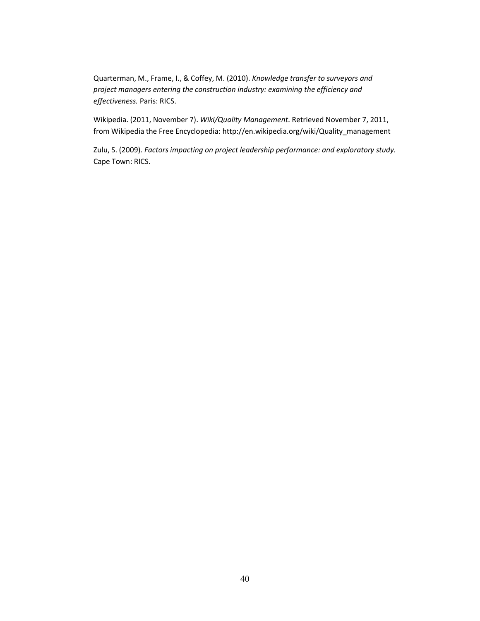Quarterman, M., Frame, I., & Coffey, M. (2010). Knowledge transfer to surveyors and project managers entering the construction industry: examining the efficiency and effectiveness. Paris: RICS.

Wikipedia. (2011, November 7). Wiki/Quality Management. Retrieved November 7, 2011, from Wikipedia the Free Encyclopedia: http://en.wikipedia.org/wiki/Quality\_management

Zulu, S. (2009). Factors impacting on project leadership performance: and exploratory study. Cape Town: RICS.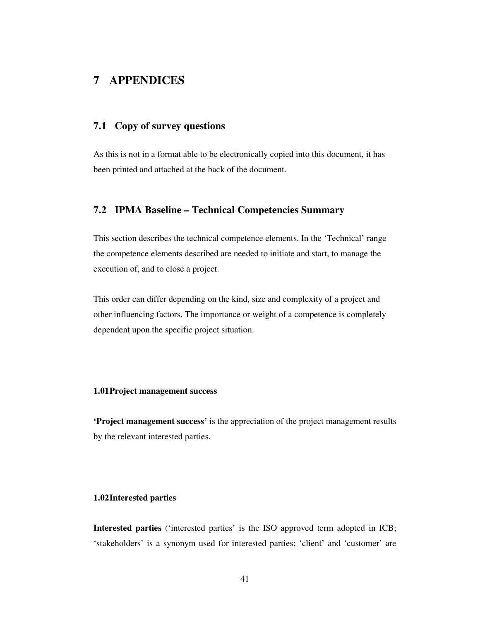# **7 APPENDICES**

# **7.1 Copy of survey questions**

As this is not in a format able to be electronically copied into this document, it has been printed and attached at the back of the document.

## **7.2 IPMA Baseline – Technical Competencies Summary**

This section describes the technical competence elements. In the 'Technical' range the competence elements described are needed to initiate and start, to manage the execution of, and to close a project.

This order can differ depending on the kind, size and complexity of a project and other influencing factors. The importance or weight of a competence is completely dependent upon the specific project situation.

### **1.01Project management success**

**'Project management success'** is the appreciation of the project management results by the relevant interested parties.

## **1.02Interested parties**

**Interested parties** ('interested parties' is the ISO approved term adopted in ICB; 'stakeholders' is a synonym used for interested parties; 'client' and 'customer' are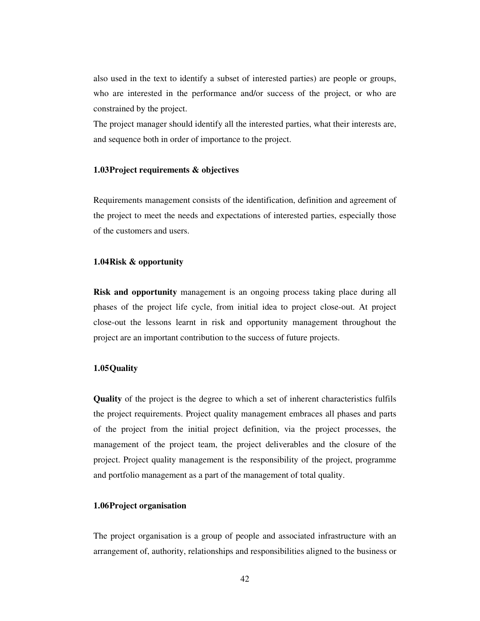also used in the text to identify a subset of interested parties) are people or groups, who are interested in the performance and/or success of the project, or who are constrained by the project.

The project manager should identify all the interested parties, what their interests are, and sequence both in order of importance to the project.

### **1.03Project requirements & objectives**

Requirements management consists of the identification, definition and agreement of the project to meet the needs and expectations of interested parties, especially those of the customers and users.

### **1.04Risk & opportunity**

**Risk and opportunity** management is an ongoing process taking place during all phases of the project life cycle, from initial idea to project close-out. At project close-out the lessons learnt in risk and opportunity management throughout the project are an important contribution to the success of future projects.

### **1.05Quality**

**Quality** of the project is the degree to which a set of inherent characteristics fulfils the project requirements. Project quality management embraces all phases and parts of the project from the initial project definition, via the project processes, the management of the project team, the project deliverables and the closure of the project. Project quality management is the responsibility of the project, programme and portfolio management as a part of the management of total quality.

## **1.06Project organisation**

The project organisation is a group of people and associated infrastructure with an arrangement of, authority, relationships and responsibilities aligned to the business or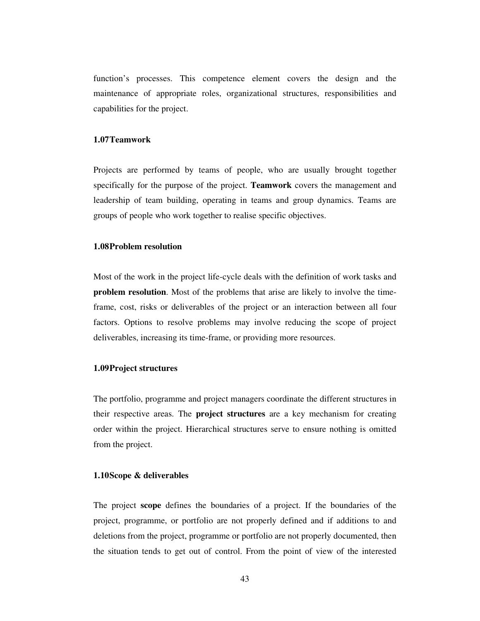function's processes. This competence element covers the design and the maintenance of appropriate roles, organizational structures, responsibilities and capabilities for the project.

### **1.07Teamwork**

Projects are performed by teams of people, who are usually brought together specifically for the purpose of the project. **Teamwork** covers the management and leadership of team building, operating in teams and group dynamics. Teams are groups of people who work together to realise specific objectives.

### **1.08Problem resolution**

Most of the work in the project life-cycle deals with the definition of work tasks and **problem resolution**. Most of the problems that arise are likely to involve the timeframe, cost, risks or deliverables of the project or an interaction between all four factors. Options to resolve problems may involve reducing the scope of project deliverables, increasing its time-frame, or providing more resources.

### **1.09Project structures**

The portfolio, programme and project managers coordinate the different structures in their respective areas. The **project structures** are a key mechanism for creating order within the project. Hierarchical structures serve to ensure nothing is omitted from the project.

### **1.10Scope & deliverables**

The project **scope** defines the boundaries of a project. If the boundaries of the project, programme, or portfolio are not properly defined and if additions to and deletions from the project, programme or portfolio are not properly documented, then the situation tends to get out of control. From the point of view of the interested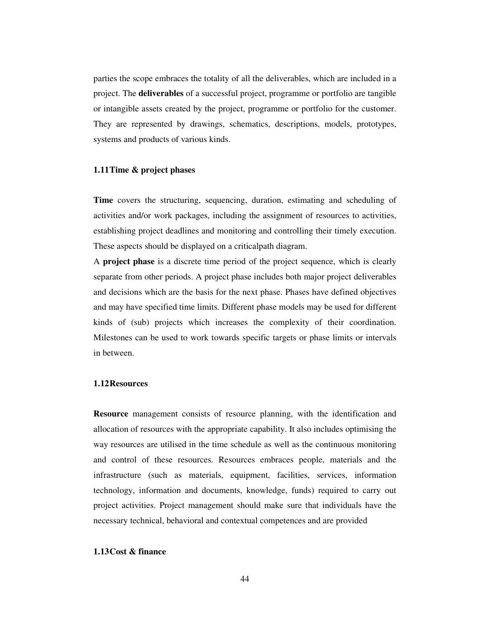parties the scope embraces the totality of all the deliverables, which are included in a project. The **deliverables** of a successful project, programme or portfolio are tangible or intangible assets created by the project, programme or portfolio for the customer. They are represented by drawings, schematics, descriptions, models, prototypes, systems and products of various kinds.

### **1.11Time & project phases**

**Time** covers the structuring, sequencing, duration, estimating and scheduling of activities and/or work packages, including the assignment of resources to activities, establishing project deadlines and monitoring and controlling their timely execution. These aspects should be displayed on a criticalpath diagram.

A **project phase** is a discrete time period of the project sequence, which is clearly separate from other periods. A project phase includes both major project deliverables and decisions which are the basis for the next phase. Phases have defined objectives and may have specified time limits. Different phase models may be used for different kinds of (sub) projects which increases the complexity of their coordination. Milestones can be used to work towards specific targets or phase limits or intervals in between.

### **1.12Resources**

**Resource** management consists of resource planning, with the identification and allocation of resources with the appropriate capability. It also includes optimising the way resources are utilised in the time schedule as well as the continuous monitoring and control of these resources. Resources embraces people, materials and the infrastructure (such as materials, equipment, facilities, services, information technology, information and documents, knowledge, funds) required to carry out project activities. Project management should make sure that individuals have the necessary technical, behavioral and contextual competences and are provided

## **1.13Cost & finance**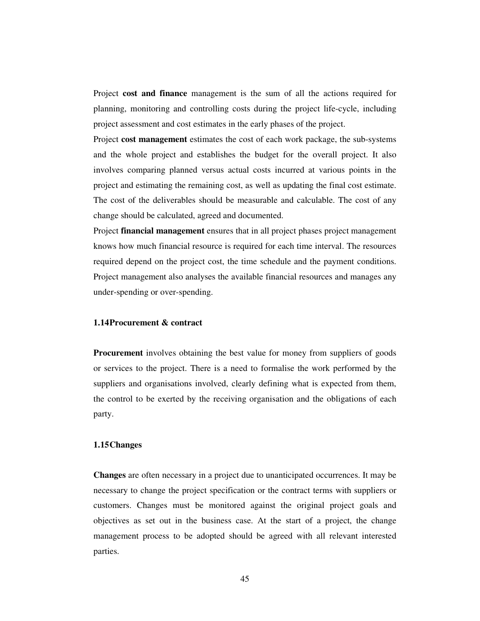Project **cost and finance** management is the sum of all the actions required for planning, monitoring and controlling costs during the project life-cycle, including project assessment and cost estimates in the early phases of the project.

Project **cost management** estimates the cost of each work package, the sub-systems and the whole project and establishes the budget for the overall project. It also involves comparing planned versus actual costs incurred at various points in the project and estimating the remaining cost, as well as updating the final cost estimate. The cost of the deliverables should be measurable and calculable. The cost of any change should be calculated, agreed and documented.

Project **financial management** ensures that in all project phases project management knows how much financial resource is required for each time interval. The resources required depend on the project cost, the time schedule and the payment conditions. Project management also analyses the available financial resources and manages any under-spending or over-spending.

### **1.14Procurement & contract**

**Procurement** involves obtaining the best value for money from suppliers of goods or services to the project. There is a need to formalise the work performed by the suppliers and organisations involved, clearly defining what is expected from them, the control to be exerted by the receiving organisation and the obligations of each party.

### **1.15Changes**

**Changes** are often necessary in a project due to unanticipated occurrences. It may be necessary to change the project specification or the contract terms with suppliers or customers. Changes must be monitored against the original project goals and objectives as set out in the business case. At the start of a project, the change management process to be adopted should be agreed with all relevant interested parties.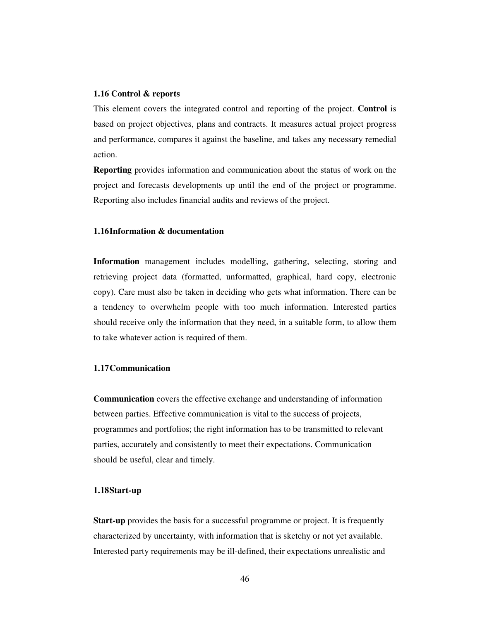### **1.16 Control & reports**

This element covers the integrated control and reporting of the project. **Control** is based on project objectives, plans and contracts. It measures actual project progress and performance, compares it against the baseline, and takes any necessary remedial action.

**Reporting** provides information and communication about the status of work on the project and forecasts developments up until the end of the project or programme. Reporting also includes financial audits and reviews of the project.

### **1.16Information & documentation**

**Information** management includes modelling, gathering, selecting, storing and retrieving project data (formatted, unformatted, graphical, hard copy, electronic copy). Care must also be taken in deciding who gets what information. There can be a tendency to overwhelm people with too much information. Interested parties should receive only the information that they need, in a suitable form, to allow them to take whatever action is required of them.

## **1.17Communication**

**Communication** covers the effective exchange and understanding of information between parties. Effective communication is vital to the success of projects, programmes and portfolios; the right information has to be transmitted to relevant parties, accurately and consistently to meet their expectations. Communication should be useful, clear and timely.

### **1.18Start-up**

**Start-up** provides the basis for a successful programme or project. It is frequently characterized by uncertainty, with information that is sketchy or not yet available. Interested party requirements may be ill-defined, their expectations unrealistic and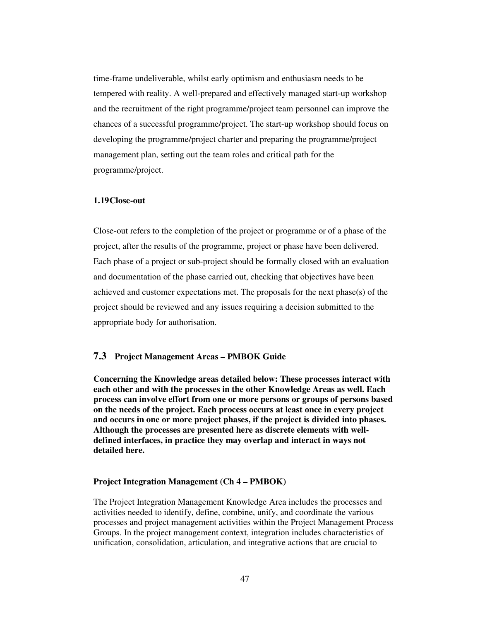time-frame undeliverable, whilst early optimism and enthusiasm needs to be tempered with reality. A well-prepared and effectively managed start-up workshop and the recruitment of the right programme/project team personnel can improve the chances of a successful programme/project. The start-up workshop should focus on developing the programme/project charter and preparing the programme/project management plan, setting out the team roles and critical path for the programme/project.

### **1.19Close-out**

Close-out refers to the completion of the project or programme or of a phase of the project, after the results of the programme, project or phase have been delivered. Each phase of a project or sub-project should be formally closed with an evaluation and documentation of the phase carried out, checking that objectives have been achieved and customer expectations met. The proposals for the next phase(s) of the project should be reviewed and any issues requiring a decision submitted to the appropriate body for authorisation.

### **7.3 Project Management Areas – PMBOK Guide**

**Concerning the Knowledge areas detailed below: These processes interact with each other and with the processes in the other Knowledge Areas as well. Each process can involve effort from one or more persons or groups of persons based on the needs of the project. Each process occurs at least once in every project and occurs in one or more project phases, if the project is divided into phases. Although the processes are presented here as discrete elements with welldefined interfaces, in practice they may overlap and interact in ways not detailed here.** 

### **Project Integration Management (Ch 4 – PMBOK)**

The Project Integration Management Knowledge Area includes the processes and activities needed to identify, define, combine, unify, and coordinate the various processes and project management activities within the Project Management Process Groups. In the project management context, integration includes characteristics of unification, consolidation, articulation, and integrative actions that are crucial to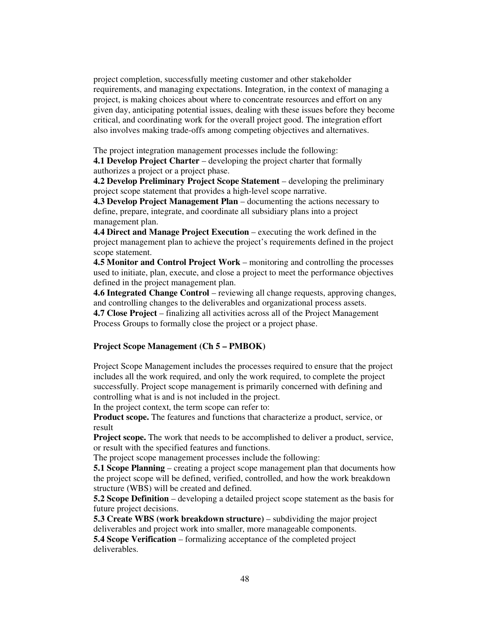project completion, successfully meeting customer and other stakeholder requirements, and managing expectations. Integration, in the context of managing a project, is making choices about where to concentrate resources and effort on any given day, anticipating potential issues, dealing with these issues before they become critical, and coordinating work for the overall project good. The integration effort also involves making trade-offs among competing objectives and alternatives.

The project integration management processes include the following: **4.1 Develop Project Charter** – developing the project charter that formally authorizes a project or a project phase.

**4.2 Develop Preliminary Project Scope Statement** – developing the preliminary project scope statement that provides a high-level scope narrative.

**4.3 Develop Project Management Plan** – documenting the actions necessary to define, prepare, integrate, and coordinate all subsidiary plans into a project management plan.

**4.4 Direct and Manage Project Execution** – executing the work defined in the project management plan to achieve the project's requirements defined in the project scope statement.

**4.5 Monitor and Control Project Work** – monitoring and controlling the processes used to initiate, plan, execute, and close a project to meet the performance objectives defined in the project management plan.

**4.6 Integrated Change Control** – reviewing all change requests, approving changes, and controlling changes to the deliverables and organizational process assets.

**4.7 Close Project** – finalizing all activities across all of the Project Management Process Groups to formally close the project or a project phase.

## **Project Scope Management (Ch 5 – PMBOK)**

Project Scope Management includes the processes required to ensure that the project includes all the work required, and only the work required, to complete the project successfully. Project scope management is primarily concerned with defining and controlling what is and is not included in the project.

In the project context, the term scope can refer to:

**Product scope.** The features and functions that characterize a product, service, or result

**Project scope.** The work that needs to be accomplished to deliver a product, service, or result with the specified features and functions.

The project scope management processes include the following:

**5.1 Scope Planning** – creating a project scope management plan that documents how the project scope will be defined, verified, controlled, and how the work breakdown structure (WBS) will be created and defined.

**5.2 Scope Definition** – developing a detailed project scope statement as the basis for future project decisions.

**5.3 Create WBS (work breakdown structure)** – subdividing the major project deliverables and project work into smaller, more manageable components.

**5.4 Scope Verification** – formalizing acceptance of the completed project deliverables.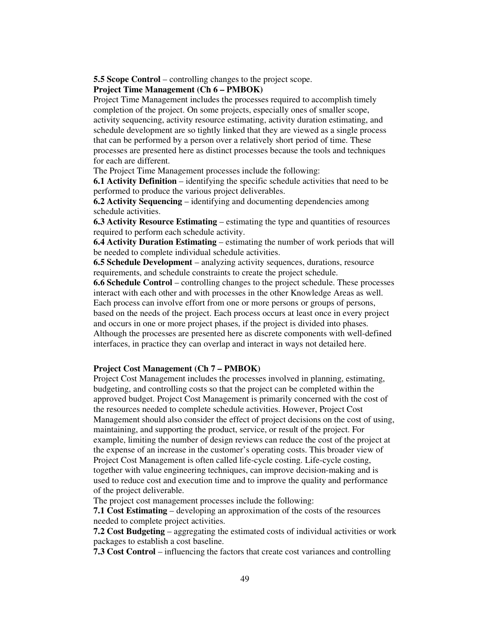**5.5 Scope Control** – controlling changes to the project scope.

#### **Project Time Management (Ch 6 – PMBOK)**

Project Time Management includes the processes required to accomplish timely completion of the project. On some projects, especially ones of smaller scope, activity sequencing, activity resource estimating, activity duration estimating, and schedule development are so tightly linked that they are viewed as a single process that can be performed by a person over a relatively short period of time. These processes are presented here as distinct processes because the tools and techniques for each are different.

The Project Time Management processes include the following:

**6.1 Activity Definition** – identifying the specific schedule activities that need to be performed to produce the various project deliverables.

**6.2 Activity Sequencing** – identifying and documenting dependencies among schedule activities.

**6.3 Activity Resource Estimating** – estimating the type and quantities of resources required to perform each schedule activity.

**6.4 Activity Duration Estimating** – estimating the number of work periods that will be needed to complete individual schedule activities.

**6.5 Schedule Development** – analyzing activity sequences, durations, resource requirements, and schedule constraints to create the project schedule.

**6.6 Schedule Control** – controlling changes to the project schedule. These processes interact with each other and with processes in the other Knowledge Areas as well. Each process can involve effort from one or more persons or groups of persons, based on the needs of the project. Each process occurs at least once in every project and occurs in one or more project phases, if the project is divided into phases. Although the processes are presented here as discrete components with well-defined interfaces, in practice they can overlap and interact in ways not detailed here.

### **Project Cost Management (Ch 7 – PMBOK)**

Project Cost Management includes the processes involved in planning, estimating, budgeting, and controlling costs so that the project can be completed within the approved budget. Project Cost Management is primarily concerned with the cost of the resources needed to complete schedule activities. However, Project Cost Management should also consider the effect of project decisions on the cost of using, maintaining, and supporting the product, service, or result of the project. For example, limiting the number of design reviews can reduce the cost of the project at the expense of an increase in the customer's operating costs. This broader view of Project Cost Management is often called life-cycle costing. Life-cycle costing, together with value engineering techniques, can improve decision-making and is used to reduce cost and execution time and to improve the quality and performance of the project deliverable.

The project cost management processes include the following:

**7.1 Cost Estimating** – developing an approximation of the costs of the resources needed to complete project activities.

**7.2 Cost Budgeting** – aggregating the estimated costs of individual activities or work packages to establish a cost baseline.

**7.3 Cost Control** – influencing the factors that create cost variances and controlling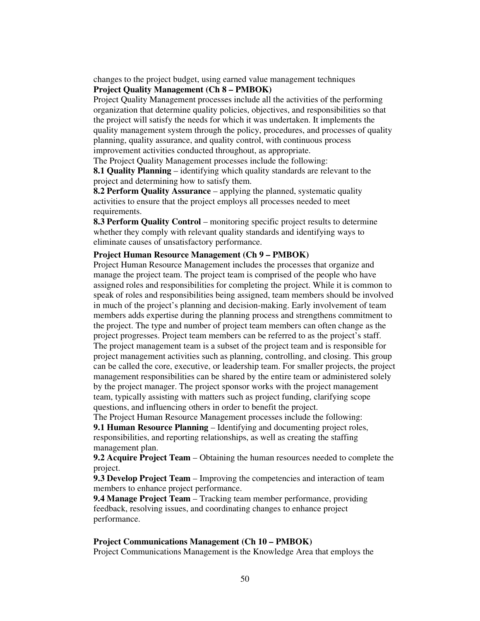changes to the project budget, using earned value management techniques **Project Quality Management (Ch 8 – PMBOK)** 

Project Quality Management processes include all the activities of the performing organization that determine quality policies, objectives, and responsibilities so that the project will satisfy the needs for which it was undertaken. It implements the quality management system through the policy, procedures, and processes of quality planning, quality assurance, and quality control, with continuous process improvement activities conducted throughout, as appropriate.

The Project Quality Management processes include the following:

**8.1 Quality Planning** – identifying which quality standards are relevant to the project and determining how to satisfy them.

**8.2 Perform Quality Assurance** – applying the planned, systematic quality activities to ensure that the project employs all processes needed to meet requirements.

**8.3 Perform Quality Control** – monitoring specific project results to determine whether they comply with relevant quality standards and identifying ways to eliminate causes of unsatisfactory performance.

## **Project Human Resource Management (Ch 9 – PMBOK)**

Project Human Resource Management includes the processes that organize and manage the project team. The project team is comprised of the people who have assigned roles and responsibilities for completing the project. While it is common to speak of roles and responsibilities being assigned, team members should be involved in much of the project's planning and decision-making. Early involvement of team members adds expertise during the planning process and strengthens commitment to the project. The type and number of project team members can often change as the project progresses. Project team members can be referred to as the project's staff. The project management team is a subset of the project team and is responsible for project management activities such as planning, controlling, and closing. This group can be called the core, executive, or leadership team. For smaller projects, the project management responsibilities can be shared by the entire team or administered solely by the project manager. The project sponsor works with the project management team, typically assisting with matters such as project funding, clarifying scope questions, and influencing others in order to benefit the project.

The Project Human Resource Management processes include the following:

**9.1 Human Resource Planning** – Identifying and documenting project roles, responsibilities, and reporting relationships, as well as creating the staffing management plan.

**9.2 Acquire Project Team** – Obtaining the human resources needed to complete the project.

**9.3 Develop Project Team** – Improving the competencies and interaction of team members to enhance project performance.

**9.4 Manage Project Team** – Tracking team member performance, providing feedback, resolving issues, and coordinating changes to enhance project performance.

#### **Project Communications Management (Ch 10 – PMBOK)**

Project Communications Management is the Knowledge Area that employs the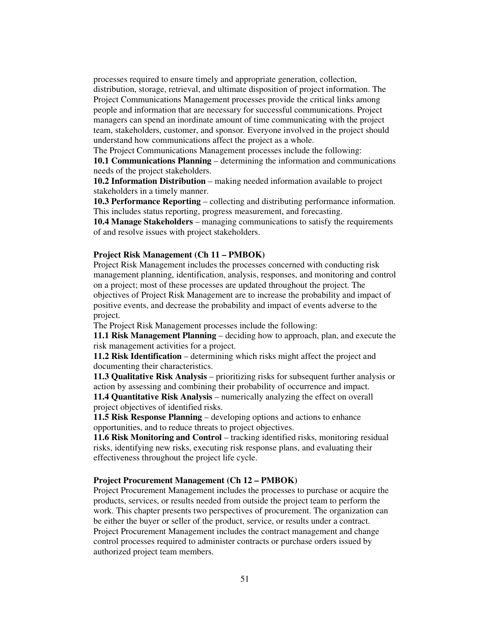processes required to ensure timely and appropriate generation, collection, distribution, storage, retrieval, and ultimate disposition of project information. The Project Communications Management processes provide the critical links among people and information that are necessary for successful communications. Project managers can spend an inordinate amount of time communicating with the project team, stakeholders, customer, and sponsor*.* Everyone involved in the project should understand how communications affect the project as a whole.

The Project Communications Management processes include the following:

**10.1 Communications Planning** – determining the information and communications needs of the project stakeholders.

**10.2 Information Distribution** – making needed information available to project stakeholders in a timely manner.

**10.3 Performance Reporting** – collecting and distributing performance information. This includes status reporting, progress measurement, and forecasting.

**10.4 Manage Stakeholders** – managing communications to satisfy the requirements of and resolve issues with project stakeholders.

### **Project Risk Management (Ch 11 – PMBOK)**

Project Risk Management includes the processes concerned with conducting risk management planning, identification, analysis, responses, and monitoring and control on a project; most of these processes are updated throughout the project. The objectives of Project Risk Management are to increase the probability and impact of positive events, and decrease the probability and impact of events adverse to the project.

The Project Risk Management processes include the following:

**11.1 Risk Management Planning** – deciding how to approach, plan, and execute the risk management activities for a project.

**11.2 Risk Identification** – determining which risks might affect the project and documenting their characteristics.

**11.3 Qualitative Risk Analysis** – prioritizing risks for subsequent further analysis or action by assessing and combining their probability of occurrence and impact.

**11.4 Quantitative Risk Analysis** – numerically analyzing the effect on overall project objectives of identified risks.

**11.5 Risk Response Planning** – developing options and actions to enhance opportunities, and to reduce threats to project objectives.

**11.6 Risk Monitoring and Control** – tracking identified risks, monitoring residual risks, identifying new risks, executing risk response plans, and evaluating their effectiveness throughout the project life cycle.

### **Project Procurement Management (Ch 12 – PMBOK)**

Project Procurement Management includes the processes to purchase or acquire the products, services, or results needed from outside the project team to perform the work. This chapter presents two perspectives of procurement. The organization can be either the buyer or seller of the product, service, or results under a contract. Project Procurement Management includes the contract management and change control processes required to administer contracts or purchase orders issued by authorized project team members.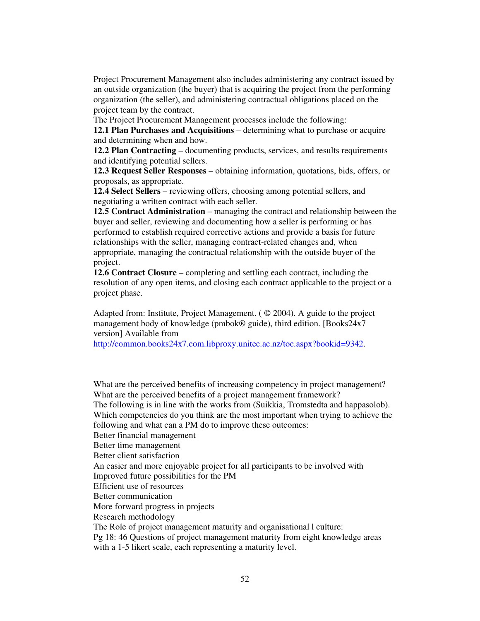Project Procurement Management also includes administering any contract issued by an outside organization (the buyer) that is acquiring the project from the performing organization (the seller), and administering contractual obligations placed on the project team by the contract.

The Project Procurement Management processes include the following:

**12.1 Plan Purchases and Acquisitions** – determining what to purchase or acquire and determining when and how.

**12.2 Plan Contracting** – documenting products, services, and results requirements and identifying potential sellers.

**12.3 Request Seller Responses** – obtaining information, quotations, bids, offers, or proposals, as appropriate.

**12.4 Select Sellers** – reviewing offers, choosing among potential sellers, and negotiating a written contract with each seller.

**12.5 Contract Administration** – managing the contract and relationship between the buyer and seller, reviewing and documenting how a seller is performing or has performed to establish required corrective actions and provide a basis for future relationships with the seller, managing contract-related changes and, when appropriate, managing the contractual relationship with the outside buyer of the project.

**12.6 Contract Closure** – completing and settling each contract, including the resolution of any open items, and closing each contract applicable to the project or a project phase.

Adapted from: Institute, Project Management. ( © 2004). A guide to the project management body of knowledge (pmbok® guide), third edition. [Books24x7 version] Available from

http://common.books24x7.com.libproxy.unitec.ac.nz/toc.aspx?bookid=9342.

What are the perceived benefits of increasing competency in project management? What are the perceived benefits of a project management framework? The following is in line with the works from (Suikkia, Tromstedta and happasolob). Which competencies do you think are the most important when trying to achieve the following and what can a PM do to improve these outcomes: Better financial management Better time management Better client satisfaction

An easier and more enjoyable project for all participants to be involved with Improved future possibilities for the PM

Efficient use of resources

Better communication

More forward progress in projects

Research methodology

The Role of project management maturity and organisational l culture:

Pg 18: 46 Questions of project management maturity from eight knowledge areas with a 1-5 likert scale, each representing a maturity level.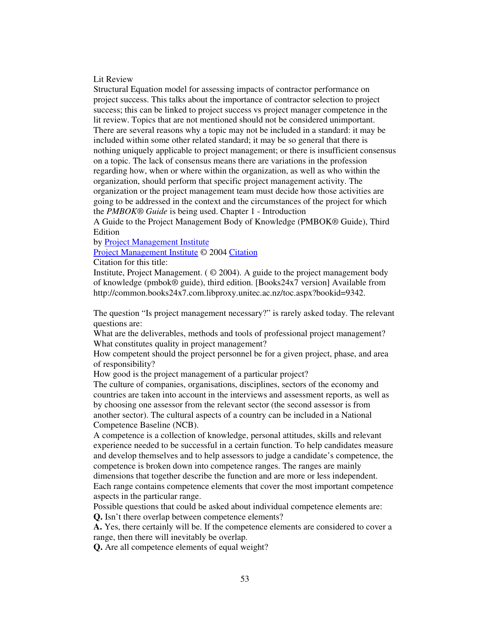### Lit Review

Structural Equation model for assessing impacts of contractor performance on project success. This talks about the importance of contractor selection to project success; this can be linked to project success vs project manager competence in the lit review. Topics that are not mentioned should not be considered unimportant. There are several reasons why a topic may not be included in a standard: it may be included within some other related standard; it may be so general that there is nothing uniquely applicable to project management; or there is insufficient consensus on a topic. The lack of consensus means there are variations in the profession regarding how, when or where within the organization, as well as who within the organization, should perform that specific project management activity. The organization or the project management team must decide how those activities are going to be addressed in the context and the circumstances of the project for which the *PMBOK® Guide* is being used. Chapter 1 - Introduction

A Guide to the Project Management Body of Knowledge (PMBOK® Guide), Third Edition

by Project Management Institute

Project Management Institute © 2004 Citation

Citation for this title:

Institute, Project Management. ( © 2004). A guide to the project management body of knowledge (pmbok® guide), third edition. [Books24x7 version] Available from http://common.books24x7.com.libproxy.unitec.ac.nz/toc.aspx?bookid=9342.

The question "Is project management necessary?" is rarely asked today. The relevant questions are:

What are the deliverables, methods and tools of professional project management? What constitutes quality in project management?

How competent should the project personnel be for a given project, phase, and area of responsibility?

How good is the project management of a particular project?

The culture of companies, organisations, disciplines, sectors of the economy and countries are taken into account in the interviews and assessment reports, as well as by choosing one assessor from the relevant sector (the second assessor is from another sector). The cultural aspects of a country can be included in a National Competence Baseline (NCB).

A competence is a collection of knowledge, personal attitudes, skills and relevant experience needed to be successful in a certain function. To help candidates measure and develop themselves and to help assessors to judge a candidate's competence, the competence is broken down into competence ranges. The ranges are mainly

dimensions that together describe the function and are more or less independent. Each range contains competence elements that cover the most important competence aspects in the particular range.

Possible questions that could be asked about individual competence elements are: **Q.** Isn't there overlap between competence elements?

**A.** Yes, there certainly will be. If the competence elements are considered to cover a range, then there will inevitably be overlap.

**Q.** Are all competence elements of equal weight?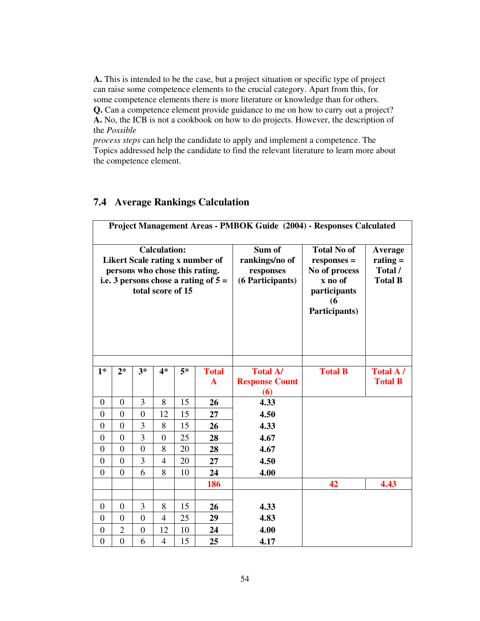**A.** This is intended to be the case, but a project situation or specific type of project can raise some competence elements to the crucial category. Apart from this, for some competence elements there is more literature or knowledge than for others. **Q.** Can a competence element provide guidance to me on how to carry out a project? **A.** No, the ICB is not a cookbook on how to do projects. However, the description of the *Possible* 

*process steps* can help the candidate to apply and implement a competence. The Topics addressed help the candidate to find the relevant literature to learn more about the competence element.

| Project Management Areas - PMBOK Guide (2004) - Responses Calculated                                                                                    |                  |                  |                  |      |                              |                                                           |                                                                                                         |                                                    |  |  |
|---------------------------------------------------------------------------------------------------------------------------------------------------------|------------------|------------------|------------------|------|------------------------------|-----------------------------------------------------------|---------------------------------------------------------------------------------------------------------|----------------------------------------------------|--|--|
| <b>Calculation:</b><br>Likert Scale rating x number of<br>persons who chose this rating.<br>i.e. 3 persons chose a rating of $5 =$<br>total score of 15 |                  |                  |                  |      |                              | Sum of<br>rankings/no of<br>responses<br>(6 Participants) | <b>Total No of</b><br>$responents =$<br>No of process<br>x no of<br>participants<br>(6<br>Participants) | Average<br>rating $=$<br>Total /<br><b>Total B</b> |  |  |
| $1*$                                                                                                                                                    | $2*$             | $3*$             | 4*               | $5*$ | <b>Total</b><br>$\mathbf{A}$ | <b>Total A/</b><br><b>Response Count</b><br>(6)           | <b>Total B</b>                                                                                          | <b>Total A/</b><br><b>Total B</b>                  |  |  |
| $\boldsymbol{0}$                                                                                                                                        | $\boldsymbol{0}$ | 3                | 8                | 15   | 26                           | 4.33                                                      |                                                                                                         |                                                    |  |  |
| $\boldsymbol{0}$                                                                                                                                        | $\overline{0}$   | $\overline{0}$   | 12               | 15   | 27                           | 4.50                                                      |                                                                                                         |                                                    |  |  |
| $\overline{0}$                                                                                                                                          | $\overline{0}$   | 3                | 8                | 15   | 26                           | 4.33                                                      |                                                                                                         |                                                    |  |  |
| $\boldsymbol{0}$                                                                                                                                        | $\boldsymbol{0}$ | 3                | $\boldsymbol{0}$ | 25   | 28                           | 4.67                                                      |                                                                                                         |                                                    |  |  |
| $\overline{0}$                                                                                                                                          | $\overline{0}$   | $\overline{0}$   | 8                | 20   | 28                           | 4.67                                                      |                                                                                                         |                                                    |  |  |
| $\boldsymbol{0}$                                                                                                                                        | $\overline{0}$   | 3                | $\overline{4}$   | 20   | 27                           | 4.50                                                      |                                                                                                         |                                                    |  |  |
| $\boldsymbol{0}$                                                                                                                                        | $\overline{0}$   | 6                | 8                | 10   | 24                           | 4.00                                                      |                                                                                                         |                                                    |  |  |
|                                                                                                                                                         |                  |                  |                  |      | 186                          |                                                           | 42                                                                                                      | 4.43                                               |  |  |
|                                                                                                                                                         |                  |                  |                  |      |                              |                                                           |                                                                                                         |                                                    |  |  |
| $\boldsymbol{0}$                                                                                                                                        | $\boldsymbol{0}$ | 3                | 8                | 15   | 26                           | 4.33                                                      |                                                                                                         |                                                    |  |  |
| $\boldsymbol{0}$                                                                                                                                        | $\mathbf{0}$     | $\boldsymbol{0}$ | $\overline{4}$   | 25   | 29                           | 4.83                                                      |                                                                                                         |                                                    |  |  |
| $\boldsymbol{0}$                                                                                                                                        | $\overline{2}$   | $\boldsymbol{0}$ | 12               | 10   | 24                           | 4.00                                                      |                                                                                                         |                                                    |  |  |
| $\overline{0}$                                                                                                                                          | $\overline{0}$   | 6                | $\overline{4}$   | 15   | 25                           | 4.17                                                      |                                                                                                         |                                                    |  |  |

# **7.4 Average Rankings Calculation**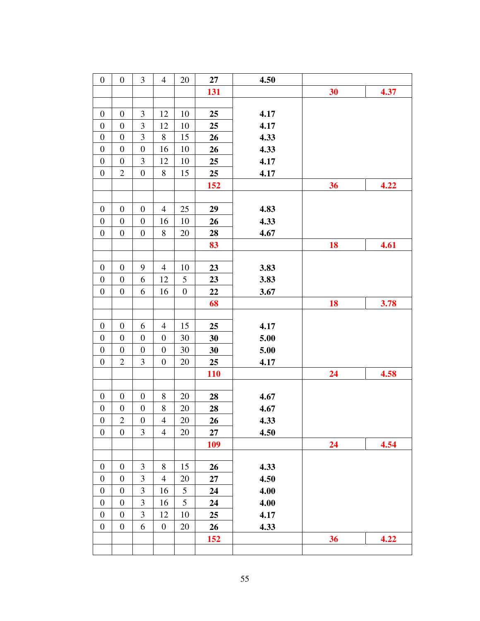| $\boldsymbol{0}$ | $\boldsymbol{0}$ | 3                | $\overline{4}$   | 20               | 27         | 4.50 |    |      |
|------------------|------------------|------------------|------------------|------------------|------------|------|----|------|
|                  |                  |                  |                  |                  | 131        |      | 30 | 4.37 |
|                  |                  |                  |                  |                  |            |      |    |      |
| $\boldsymbol{0}$ | $\boldsymbol{0}$ | 3                | 12               | 10               | 25         | 4.17 |    |      |
| $\boldsymbol{0}$ | $\boldsymbol{0}$ | 3                | 12               | 10               | 25         | 4.17 |    |      |
| $\boldsymbol{0}$ | $\boldsymbol{0}$ | 3                | $8\,$            | 15               | 26         | 4.33 |    |      |
| $\boldsymbol{0}$ | $\boldsymbol{0}$ | $\boldsymbol{0}$ | 16               | 10               | 26         | 4.33 |    |      |
| $\boldsymbol{0}$ | $\boldsymbol{0}$ | $\mathfrak{Z}$   | 12               | 10               | 25         | 4.17 |    |      |
| $\boldsymbol{0}$ | $\overline{2}$   | $\boldsymbol{0}$ | 8                | 15               | 25         | 4.17 |    |      |
|                  |                  |                  |                  |                  | 152        |      | 36 | 4.22 |
|                  |                  |                  |                  |                  |            |      |    |      |
| $\boldsymbol{0}$ | $\boldsymbol{0}$ | $\boldsymbol{0}$ | $\overline{4}$   | 25               | 29         | 4.83 |    |      |
| $\boldsymbol{0}$ | $\overline{0}$   | $\boldsymbol{0}$ | 16               | 10               | 26         | 4.33 |    |      |
| $\boldsymbol{0}$ | $\boldsymbol{0}$ | $\boldsymbol{0}$ | $8\,$            | 20               | 28         | 4.67 |    |      |
|                  |                  |                  |                  |                  | 83         |      | 18 | 4.61 |
|                  |                  |                  |                  |                  |            |      |    |      |
| $\boldsymbol{0}$ | $\boldsymbol{0}$ | 9                | $\overline{4}$   | 10               | 23         | 3.83 |    |      |
| $\boldsymbol{0}$ | $\boldsymbol{0}$ | 6                | 12               | 5                | 23         | 3.83 |    |      |
| $\boldsymbol{0}$ | $\boldsymbol{0}$ | 6                | 16               | $\boldsymbol{0}$ | 22         | 3.67 |    |      |
|                  |                  |                  |                  |                  | 68         |      | 18 | 3.78 |
| $\boldsymbol{0}$ | $\boldsymbol{0}$ | 6                | $\overline{4}$   | 15               | 25         | 4.17 |    |      |
| $\boldsymbol{0}$ | $\overline{0}$   | $\boldsymbol{0}$ | $\boldsymbol{0}$ | 30               | 30         | 5.00 |    |      |
| $\boldsymbol{0}$ | $\boldsymbol{0}$ | $\boldsymbol{0}$ | $\boldsymbol{0}$ | 30               | 30         | 5.00 |    |      |
| $\boldsymbol{0}$ | $\overline{2}$   | 3                | $\boldsymbol{0}$ | 20               | 25         | 4.17 |    |      |
|                  |                  |                  |                  |                  | <b>110</b> |      | 24 | 4.58 |
|                  |                  |                  |                  |                  |            |      |    |      |
| $\boldsymbol{0}$ | $\boldsymbol{0}$ | $\boldsymbol{0}$ | 8                | 20               | 28         | 4.67 |    |      |
| $\boldsymbol{0}$ | $\boldsymbol{0}$ | $\boldsymbol{0}$ | $\,8\,$          | 20               | 28         | 4.67 |    |      |
| $\boldsymbol{0}$ | $\overline{2}$   | $\boldsymbol{0}$ | $\overline{4}$   | 20               | 26         | 4.33 |    |      |
| $\boldsymbol{0}$ | $\overline{0}$   | $\overline{3}$   | $\overline{4}$   | 20               | 27         | 4.50 |    |      |
|                  |                  |                  |                  |                  | 109        |      | 24 | 4.54 |
|                  |                  |                  |                  |                  |            |      |    |      |
| $\boldsymbol{0}$ | $\boldsymbol{0}$ | 3                | $\,8\,$          | 15               | 26         | 4.33 |    |      |
| $\boldsymbol{0}$ | $\boldsymbol{0}$ | 3                | $\overline{4}$   | 20               | 27         | 4.50 |    |      |
| $\boldsymbol{0}$ | $\boldsymbol{0}$ | 3                | 16               | 5                | 24         | 4.00 |    |      |
| $\boldsymbol{0}$ | $\boldsymbol{0}$ | 3                | 16               | 5                | 24         | 4.00 |    |      |
| $\boldsymbol{0}$ | $\boldsymbol{0}$ | 3                | 12               | 10               | 25         | 4.17 |    |      |
| $\boldsymbol{0}$ | $\boldsymbol{0}$ | 6                | $\boldsymbol{0}$ | 20               | 26         | 4.33 |    |      |
|                  |                  |                  |                  |                  | 152        |      | 36 | 4.22 |
|                  |                  |                  |                  |                  |            |      |    |      |